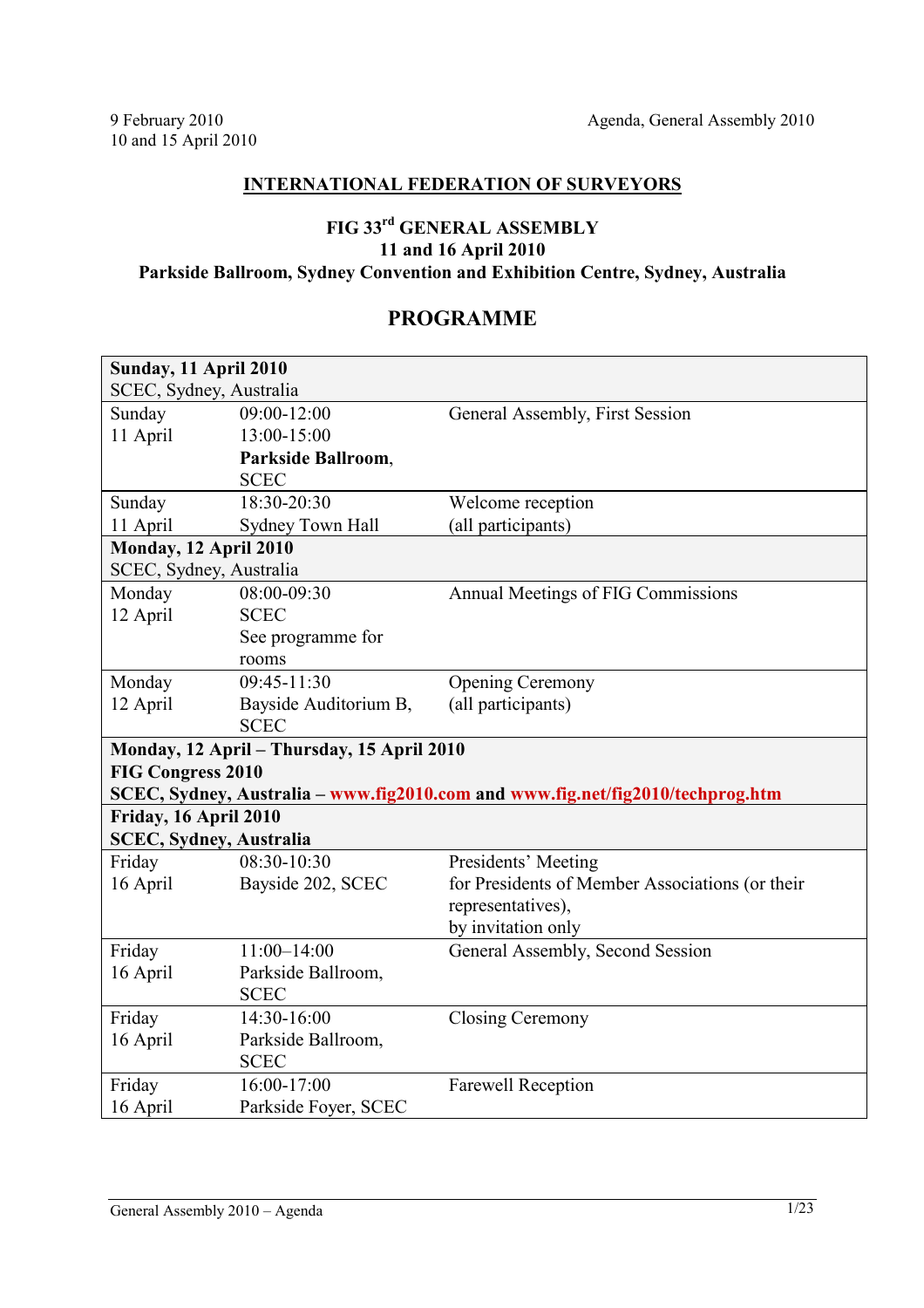## **INTERNATIONAL FEDERATION OF SURVEYORS**

## **FIG 33rd GENERAL ASSEMBLY 11 and 16 April 2010 Parkside Ballroom, Sydney Convention and Exhibition Centre, Sydney, Australia**

## **PROGRAMME**

| <b>Sunday, 11 April 2010</b>               |                       |                                                                                |  |  |  |  |
|--------------------------------------------|-----------------------|--------------------------------------------------------------------------------|--|--|--|--|
| SCEC, Sydney, Australia                    |                       |                                                                                |  |  |  |  |
| Sunday                                     | 09:00-12:00           | General Assembly, First Session                                                |  |  |  |  |
| 11 April                                   | 13:00-15:00           |                                                                                |  |  |  |  |
|                                            | Parkside Ballroom,    |                                                                                |  |  |  |  |
|                                            | <b>SCEC</b>           |                                                                                |  |  |  |  |
| Sunday                                     | 18:30-20:30           | Welcome reception                                                              |  |  |  |  |
| 11 April                                   | Sydney Town Hall      | (all participants)                                                             |  |  |  |  |
| Monday, 12 April 2010                      |                       |                                                                                |  |  |  |  |
| SCEC, Sydney, Australia                    |                       |                                                                                |  |  |  |  |
| Monday                                     | 08:00-09:30           | Annual Meetings of FIG Commissions                                             |  |  |  |  |
| 12 April                                   | <b>SCEC</b>           |                                                                                |  |  |  |  |
|                                            | See programme for     |                                                                                |  |  |  |  |
|                                            | rooms                 |                                                                                |  |  |  |  |
| Monday                                     | 09:45-11:30           | <b>Opening Ceremony</b>                                                        |  |  |  |  |
| 12 April                                   | Bayside Auditorium B, | (all participants)                                                             |  |  |  |  |
|                                            | <b>SCEC</b>           |                                                                                |  |  |  |  |
| Monday, 12 April - Thursday, 15 April 2010 |                       |                                                                                |  |  |  |  |
| <b>FIG Congress 2010</b>                   |                       |                                                                                |  |  |  |  |
|                                            |                       |                                                                                |  |  |  |  |
|                                            |                       | SCEC, Sydney, Australia - www.fig2010.com and www.fig.net/fig2010/techprog.htm |  |  |  |  |
| Friday, 16 April 2010                      |                       |                                                                                |  |  |  |  |
| <b>SCEC, Sydney, Australia</b>             |                       |                                                                                |  |  |  |  |
| Friday                                     | 08:30-10:30           | Presidents' Meeting                                                            |  |  |  |  |
| 16 April                                   | Bayside 202, SCEC     | for Presidents of Member Associations (or their                                |  |  |  |  |
|                                            |                       | representatives),                                                              |  |  |  |  |
|                                            |                       | by invitation only                                                             |  |  |  |  |
| Friday                                     | $11:00 - 14:00$       | General Assembly, Second Session                                               |  |  |  |  |
| 16 April                                   | Parkside Ballroom,    |                                                                                |  |  |  |  |
|                                            | <b>SCEC</b>           |                                                                                |  |  |  |  |
| Friday                                     | 14:30-16:00           | <b>Closing Ceremony</b>                                                        |  |  |  |  |
| 16 April                                   | Parkside Ballroom,    |                                                                                |  |  |  |  |
|                                            | <b>SCEC</b>           |                                                                                |  |  |  |  |
| Friday                                     | 16:00-17:00           | <b>Farewell Reception</b>                                                      |  |  |  |  |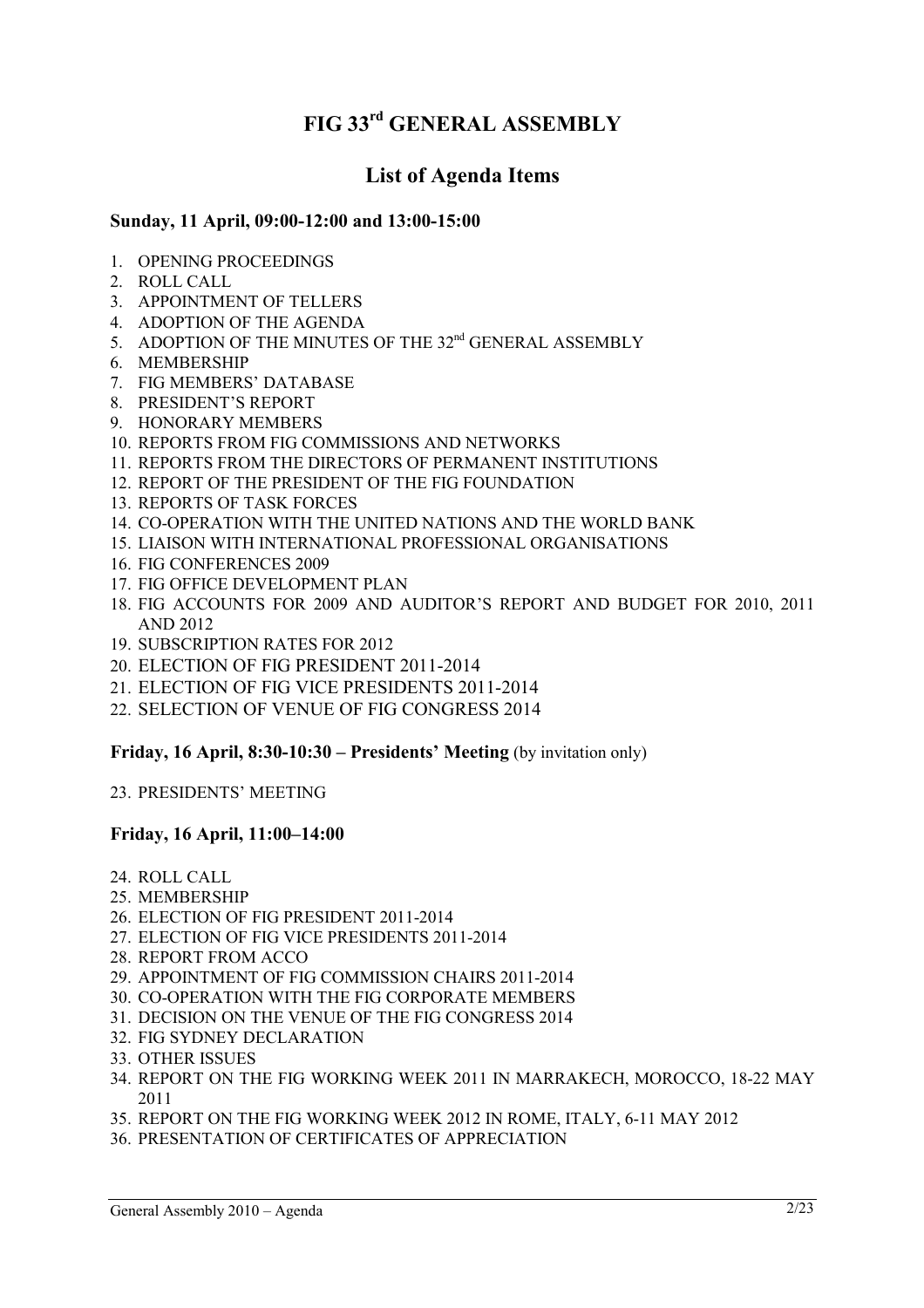# **FIG 33rd GENERAL ASSEMBLY**

## **List of Agenda Items**

## **Sunday, 11 April, 09:00-12:00 and 13:00-15:00**

- 1. OPENING PROCEEDINGS
- 2. ROLL CALL
- 3. APPOINTMENT OF TELLERS
- 4. ADOPTION OF THE AGENDA
- 5. ADOPTION OF THE MINUTES OF THE 32<sup>nd</sup> GENERAL ASSEMBLY
- 6. MEMBERSHIP
- 7. FIG MEMBERS' DATABASE
- 8. PRESIDENT'S REPORT
- 9. HONORARY MEMBERS
- 10. REPORTS FROM FIG COMMISSIONS AND NETWORKS
- 11. REPORTS FROM THE DIRECTORS OF PERMANENT INSTITUTIONS
- 12. REPORT OF THE PRESIDENT OF THE FIG FOUNDATION
- 13. REPORTS OF TASK FORCES
- 14. CO-OPERATION WITH THE UNITED NATIONS AND THE WORLD BANK
- 15. LIAISON WITH INTERNATIONAL PROFESSIONAL ORGANISATIONS
- 16. FIG CONFERENCES 2009
- 17. FIG OFFICE DEVELOPMENT PLAN
- 18. FIG ACCOUNTS FOR 2009 AND AUDITOR'S REPORT AND BUDGET FOR 2010, 2011 AND 2012
- 19. SUBSCRIPTION RATES FOR 2012
- 20. ELECTION OF FIG PRESIDENT 2011-2014
- 21. ELECTION OF FIG VICE PRESIDENTS 2011-2014
- 22. SELECTION OF VENUE OF FIG CONGRESS 2014

## **Friday, 16 April, 8:30-10:30 – Presidents' Meeting (by invitation only)**

23. PRESIDENTS' MEETING

## **Friday, 16 April, 11:00–14:00**

- 24. ROLL CALL
- 25. MEMBERSHIP
- 26. ELECTION OF FIG PRESIDENT 2011-2014
- 27. ELECTION OF FIG VICE PRESIDENTS 2011-2014
- 28. REPORT FROM ACCO
- 29. APPOINTMENT OF FIG COMMISSION CHAIRS 2011-2014
- 30. CO-OPERATION WITH THE FIG CORPORATE MEMBERS
- 31. DECISION ON THE VENUE OF THE FIG CONGRESS 2014
- 32. FIG SYDNEY DECLARATION
- 33. OTHER ISSUES
- 34. REPORT ON THE FIG WORKING WEEK 2011 IN MARRAKECH, MOROCCO, 18-22 MAY 2011
- 35. REPORT ON THE FIG WORKING WEEK 2012 IN ROME, ITALY, 6-11 MAY 2012
- 36. PRESENTATION OF CERTIFICATES OF APPRECIATION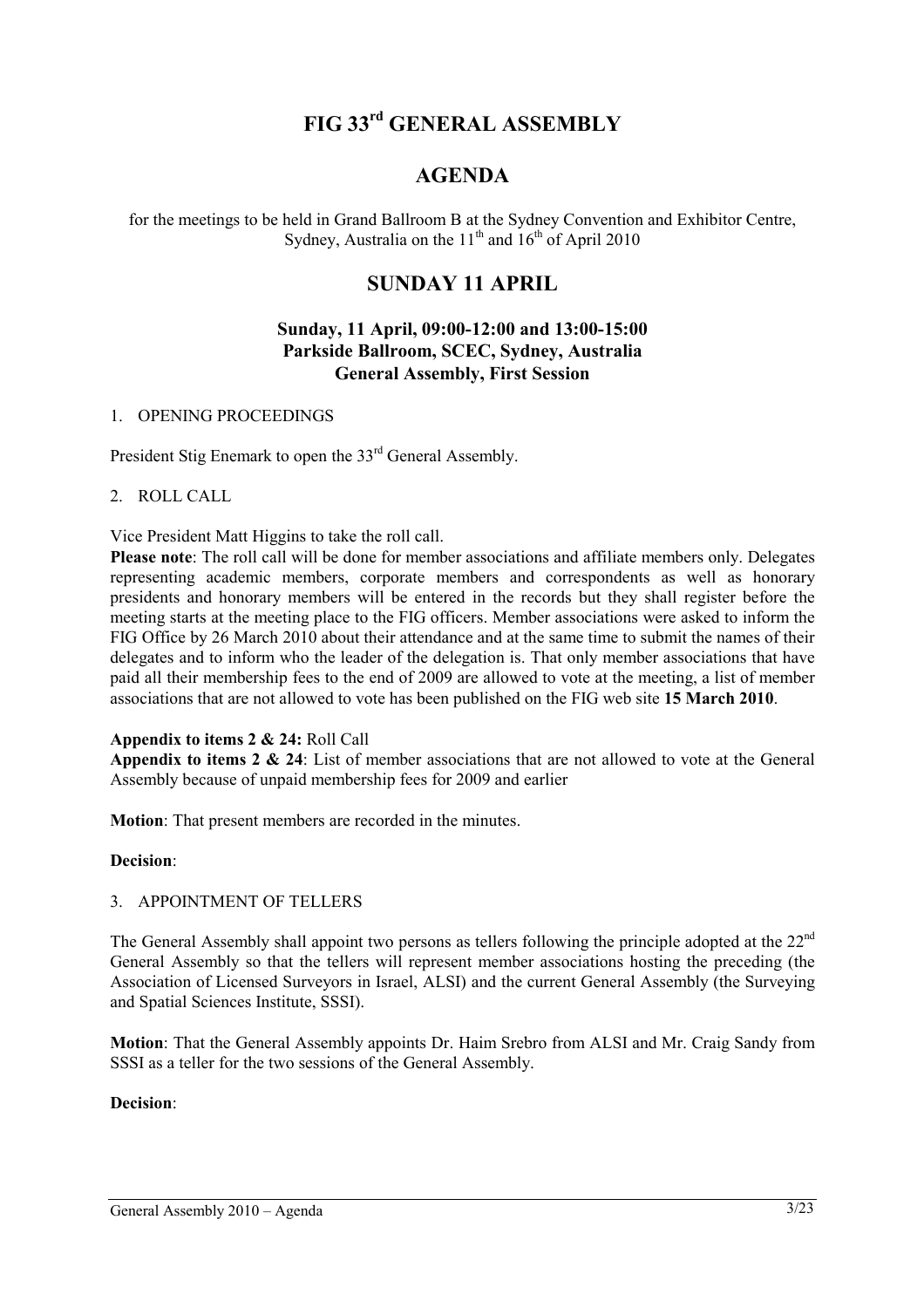# **FIG 33rd GENERAL ASSEMBLY**

## **AGENDA**

for the meetings to be held in Grand Ballroom B at the Sydney Convention and Exhibitor Centre, Sydney, Australia on the  $11<sup>th</sup>$  and  $16<sup>th</sup>$  of April 2010

## **SUNDAY 11 APRIL**

## **Sunday, 11 April, 09:00-12:00 and 13:00-15:00 Parkside Ballroom, SCEC, Sydney, Australia General Assembly, First Session**

#### 1. OPENING PROCEEDINGS

President Stig Enemark to open the 33<sup>rd</sup> General Assembly.

#### 2. ROLL CALL

Vice President Matt Higgins to take the roll call.

**Please note**: The roll call will be done for member associations and affiliate members only. Delegates representing academic members, corporate members and correspondents as well as honorary presidents and honorary members will be entered in the records but they shall register before the meeting starts at the meeting place to the FIG officers. Member associations were asked to inform the FIG Office by 26 March 2010 about their attendance and at the same time to submit the names of their delegates and to inform who the leader of the delegation is. That only member associations that have paid all their membership fees to the end of 2009 are allowed to vote at the meeting, a list of member associations that are not allowed to vote has been published on the FIG web site **15 March 2010**.

## **Appendix to items 2 & 24:** Roll Call

**Appendix to items 2 & 24**: List of member associations that are not allowed to vote at the General Assembly because of unpaid membership fees for 2009 and earlier

**Motion**: That present members are recorded in the minutes.

## **Decision**:

## 3. APPOINTMENT OF TELLERS

The General Assembly shall appoint two persons as tellers following the principle adopted at the 22<sup>nd</sup> General Assembly so that the tellers will represent member associations hosting the preceding (the Association of Licensed Surveyors in Israel, ALSI) and the current General Assembly (the Surveying and Spatial Sciences Institute, SSSI).

**Motion**: That the General Assembly appoints Dr. Haim Srebro from ALSI and Mr. Craig Sandy from SSSI as a teller for the two sessions of the General Assembly.

## **Decision**: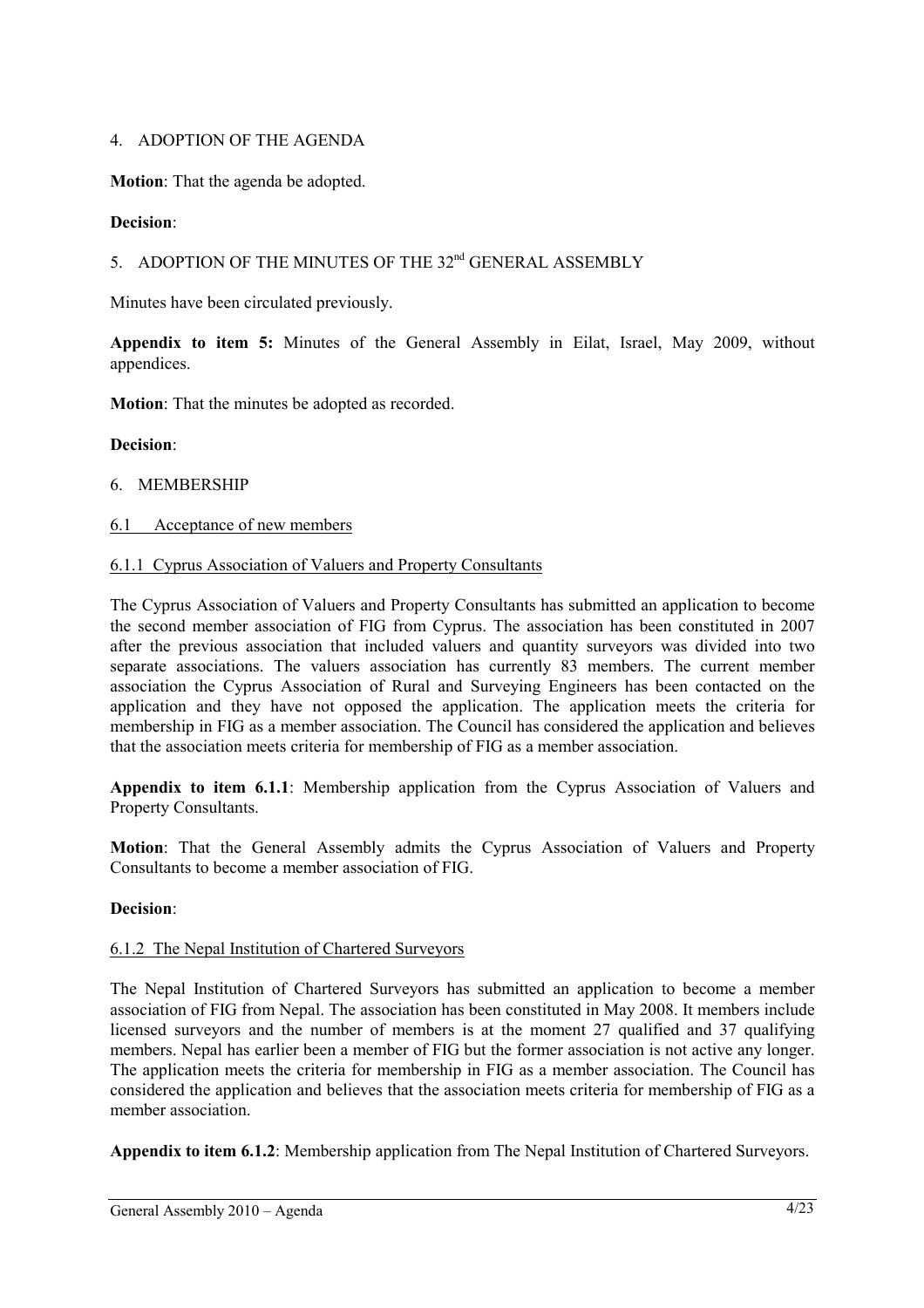## 4. ADOPTION OF THE AGENDA

**Motion**: That the agenda be adopted.

## **Decision**:

## 5. ADOPTION OF THE MINUTES OF THE 32<sup>nd</sup> GENERAL ASSEMBLY

Minutes have been circulated previously.

**Appendix to item 5:** Minutes of the General Assembly in Eilat, Israel, May 2009, without appendices.

**Motion**: That the minutes be adopted as recorded.

## **Decision**:

## 6. MEMBERSHIP

## 6.1 Acceptance of new members

## 6.1.1 Cyprus Association of Valuers and Property Consultants

The Cyprus Association of Valuers and Property Consultants has submitted an application to become the second member association of FIG from Cyprus. The association has been constituted in 2007 after the previous association that included valuers and quantity surveyors was divided into two separate associations. The valuers association has currently 83 members. The current member association the Cyprus Association of Rural and Surveying Engineers has been contacted on the application and they have not opposed the application. The application meets the criteria for membership in FIG as a member association. The Council has considered the application and believes that the association meets criteria for membership of FIG as a member association.

**Appendix to item 6.1.1**: Membership application from the Cyprus Association of Valuers and Property Consultants.

**Motion**: That the General Assembly admits the Cyprus Association of Valuers and Property Consultants to become a member association of FIG.

## **Decision**:

## 6.1.2 The Nepal Institution of Chartered Surveyors

The Nepal Institution of Chartered Surveyors has submitted an application to become a member association of FIG from Nepal. The association has been constituted in May 2008. It members include licensed surveyors and the number of members is at the moment 27 qualified and 37 qualifying members. Nepal has earlier been a member of FIG but the former association is not active any longer. The application meets the criteria for membership in FIG as a member association. The Council has considered the application and believes that the association meets criteria for membership of FIG as a member association.

**Appendix to item 6.1.2**: Membership application from The Nepal Institution of Chartered Surveyors.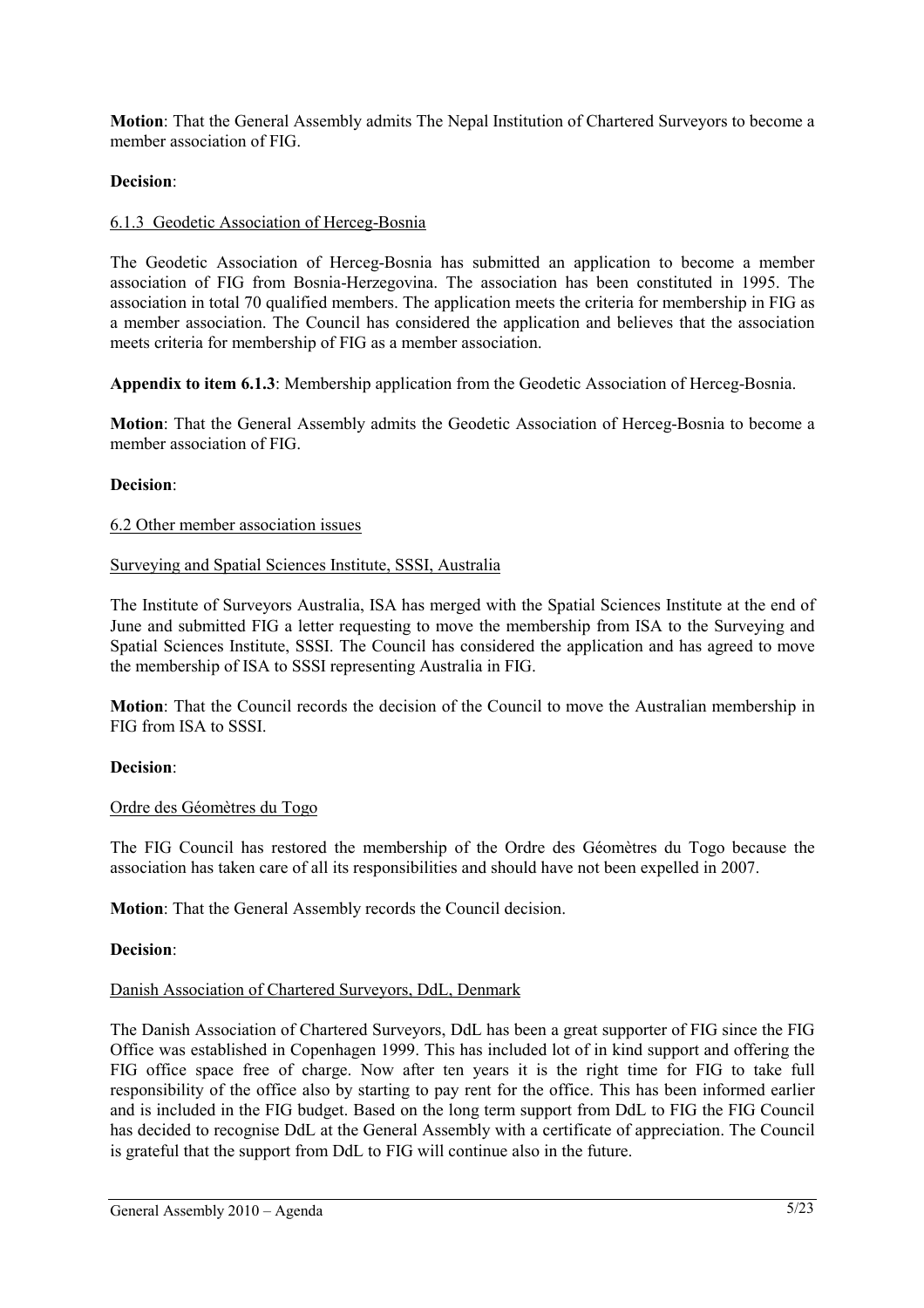**Motion**: That the General Assembly admits The Nepal Institution of Chartered Surveyors to become a member association of FIG.

## **Decision**:

## 6.1.3 Geodetic Association of Herceg-Bosnia

The Geodetic Association of Herceg-Bosnia has submitted an application to become a member association of FIG from Bosnia-Herzegovina. The association has been constituted in 1995. The association in total 70 qualified members. The application meets the criteria for membership in FIG as a member association. The Council has considered the application and believes that the association meets criteria for membership of FIG as a member association.

**Appendix to item 6.1.3**: Membership application from the Geodetic Association of Herceg-Bosnia.

**Motion**: That the General Assembly admits the Geodetic Association of Herceg-Bosnia to become a member association of FIG.

## **Decision**:

## 6.2 Other member association issues

#### Surveying and Spatial Sciences Institute, SSSI, Australia

The Institute of Surveyors Australia, ISA has merged with the Spatial Sciences Institute at the end of June and submitted FIG a letter requesting to move the membership from ISA to the Surveying and Spatial Sciences Institute, SSSI. The Council has considered the application and has agreed to move the membership of ISA to SSSI representing Australia in FIG.

**Motion**: That the Council records the decision of the Council to move the Australian membership in FIG from ISA to SSSI.

## **Decision**:

## Ordre des Géomètres du Togo

The FIG Council has restored the membership of the Ordre des Géomètres du Togo because the association has taken care of all its responsibilities and should have not been expelled in 2007.

**Motion**: That the General Assembly records the Council decision.

#### **Decision**:

#### Danish Association of Chartered Surveyors, DdL, Denmark

The Danish Association of Chartered Surveyors, DdL has been a great supporter of FIG since the FIG Office was established in Copenhagen 1999. This has included lot of in kind support and offering the FIG office space free of charge. Now after ten years it is the right time for FIG to take full responsibility of the office also by starting to pay rent for the office. This has been informed earlier and is included in the FIG budget. Based on the long term support from DdL to FIG the FIG Council has decided to recognise DdL at the General Assembly with a certificate of appreciation. The Council is grateful that the support from DdL to FIG will continue also in the future.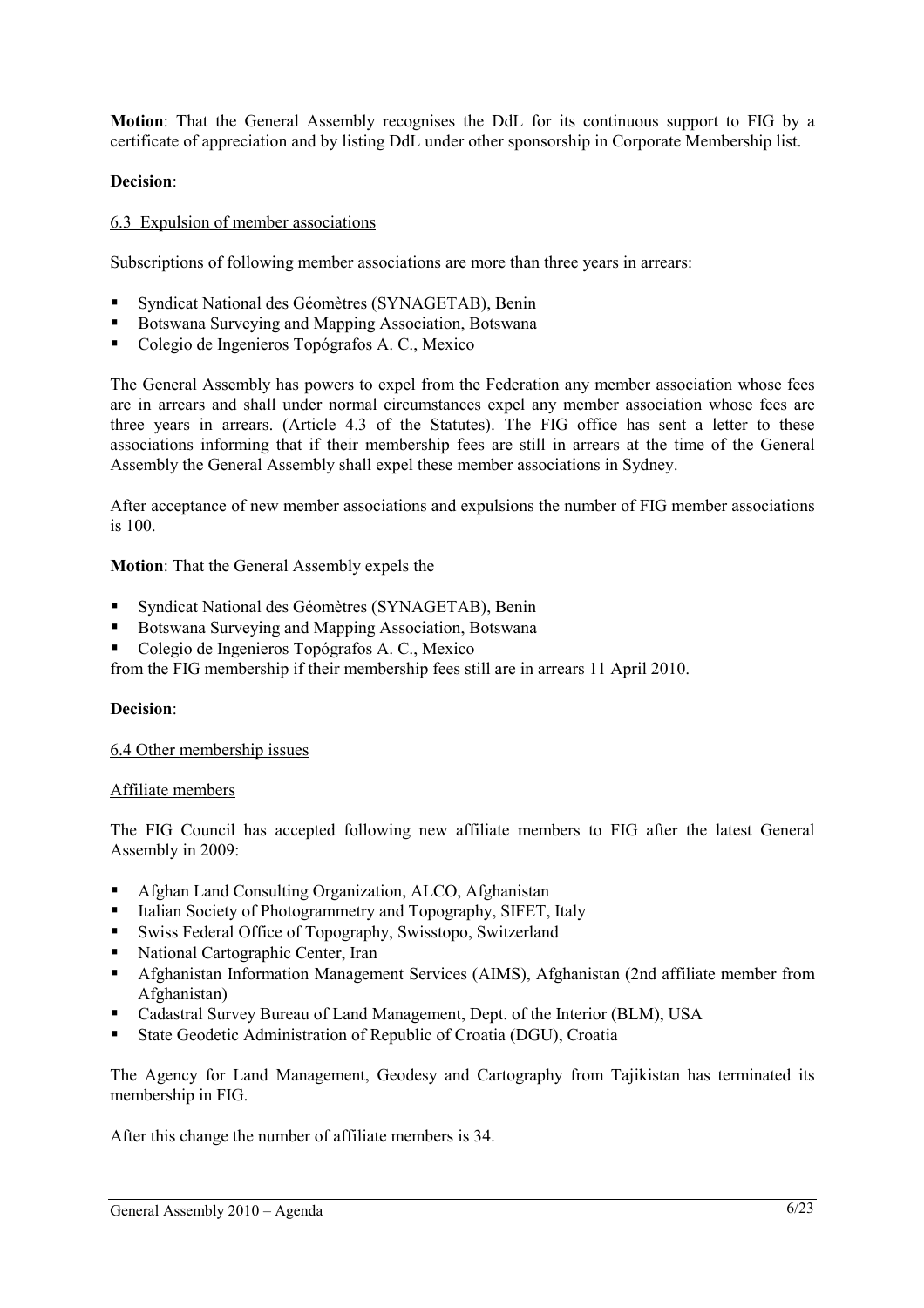**Motion**: That the General Assembly recognises the DdL for its continuous support to FIG by a certificate of appreciation and by listing DdL under other sponsorship in Corporate Membership list.

## **Decision**:

#### 6.3 Expulsion of member associations

Subscriptions of following member associations are more than three years in arrears:

- Syndicat National des Géomètres (SYNAGETAB), Benin
- Botswana Surveying and Mapping Association, Botswana
- Colegio de Ingenieros Topógrafos A. C., Mexico

The General Assembly has powers to expel from the Federation any member association whose fees are in arrears and shall under normal circumstances expel any member association whose fees are three years in arrears. (Article 4.3 of the Statutes). The FIG office has sent a letter to these associations informing that if their membership fees are still in arrears at the time of the General Assembly the General Assembly shall expel these member associations in Sydney.

After acceptance of new member associations and expulsions the number of FIG member associations is 100.

#### **Motion**: That the General Assembly expels the

- Syndicat National des Géomètres (SYNAGETAB), Benin
- Botswana Surveying and Mapping Association, Botswana
- Colegio de Ingenieros Topógrafos A. C., Mexico

from the FIG membership if their membership fees still are in arrears 11 April 2010.

#### **Decision**:

#### 6.4 Other membership issues

#### Affiliate members

The FIG Council has accepted following new affiliate members to FIG after the latest General Assembly in 2009:

- Afghan Land Consulting Organization, ALCO, Afghanistan
- Italian Society of Photogrammetry and Topography, SIFET, Italy
- Swiss Federal Office of Topography, Swisstopo, Switzerland
- National Cartographic Center, Iran
- Afghanistan Information Management Services (AIMS), Afghanistan (2nd affiliate member from Afghanistan)
- Cadastral Survey Bureau of Land Management, Dept. of the Interior (BLM), USA
- State Geodetic Administration of Republic of Croatia (DGU), Croatia

The Agency for Land Management, Geodesy and Cartography from Tajikistan has terminated its membership in FIG.

After this change the number of affiliate members is 34.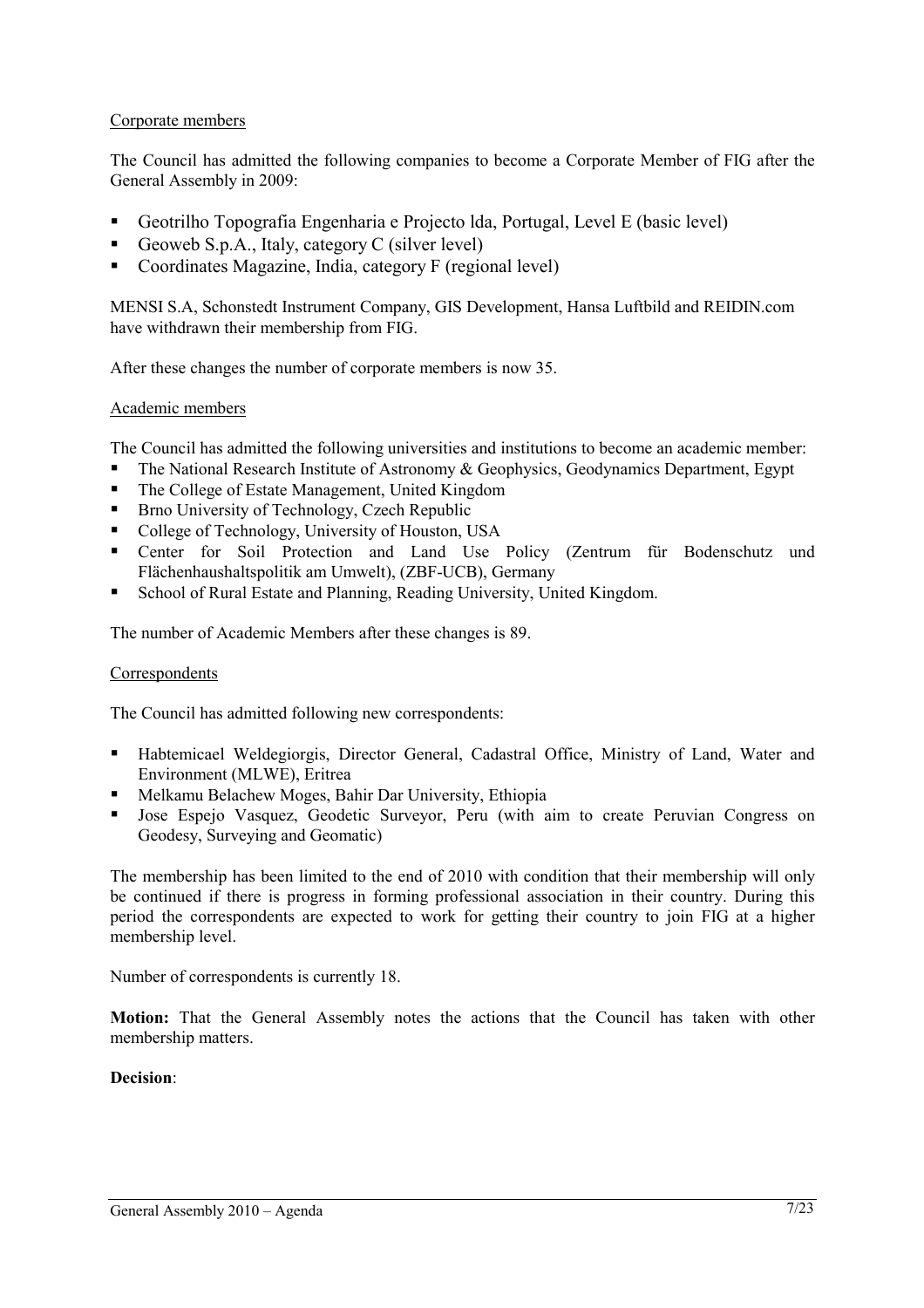## Corporate members

The Council has admitted the following companies to become a Corporate Member of FIG after the General Assembly in 2009:

- Geotrilho Topografia Engenharia e Projecto lda, Portugal, Level E (basic level)
- Geoweb S.p.A., Italy, category C (silver level)
- Coordinates Magazine, India, category F (regional level)

MENSI S.A, Schonstedt Instrument Company, GIS Development, Hansa Luftbild and REIDIN.com have withdrawn their membership from FIG.

After these changes the number of corporate members is now 35.

## Academic members

The Council has admitted the following universities and institutions to become an academic member:

- The National Research Institute of Astronomy & Geophysics, Geodynamics Department, Egypt
- The College of Estate Management, United Kingdom
- Brno University of Technology, Czech Republic
- College of Technology, University of Houston, USA
- Center for Soil Protection and Land Use Policy (Zentrum für Bodenschutz und Flächenhaushaltspolitik am Umwelt), (ZBF-UCB), Germany
- School of Rural Estate and Planning, Reading University, United Kingdom.

The number of Academic Members after these changes is 89.

## **Correspondents**

The Council has admitted following new correspondents:

- Habtemicael Weldegiorgis, Director General, Cadastral Office, Ministry of Land, Water and Environment (MLWE), Eritrea
- Melkamu Belachew Moges, Bahir Dar University, Ethiopia
- Jose Espejo Vasquez, Geodetic Surveyor, Peru (with aim to create Peruvian Congress on Geodesy, Surveying and Geomatic)

The membership has been limited to the end of 2010 with condition that their membership will only be continued if there is progress in forming professional association in their country. During this period the correspondents are expected to work for getting their country to join FIG at a higher membership level.

Number of correspondents is currently 18.

**Motion:** That the General Assembly notes the actions that the Council has taken with other membership matters.

## **Decision**: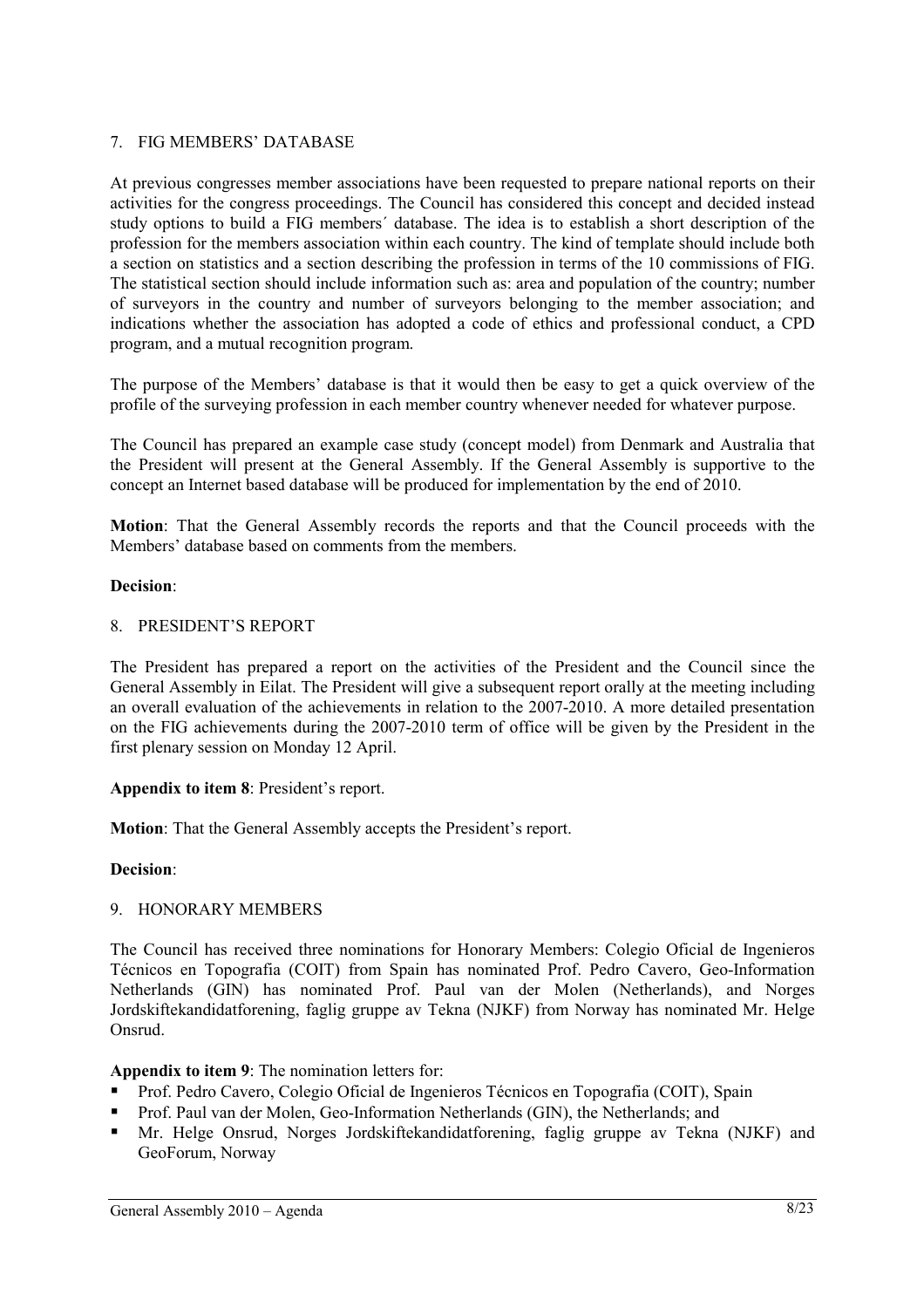## 7. FIG MEMBERS' DATABASE

At previous congresses member associations have been requested to prepare national reports on their activities for the congress proceedings. The Council has considered this concept and decided instead study options to build a FIG members´ database. The idea is to establish a short description of the profession for the members association within each country. The kind of template should include both a section on statistics and a section describing the profession in terms of the 10 commissions of FIG. The statistical section should include information such as: area and population of the country; number of surveyors in the country and number of surveyors belonging to the member association; and indications whether the association has adopted a code of ethics and professional conduct, a CPD program, and a mutual recognition program.

The purpose of the Members' database is that it would then be easy to get a quick overview of the profile of the surveying profession in each member country whenever needed for whatever purpose.

The Council has prepared an example case study (concept model) from Denmark and Australia that the President will present at the General Assembly. If the General Assembly is supportive to the concept an Internet based database will be produced for implementation by the end of 2010.

**Motion**: That the General Assembly records the reports and that the Council proceeds with the Members' database based on comments from the members.

#### **Decision**:

#### 8. PRESIDENT'S REPORT

The President has prepared a report on the activities of the President and the Council since the General Assembly in Eilat. The President will give a subsequent report orally at the meeting including an overall evaluation of the achievements in relation to the 2007-2010. A more detailed presentation on the FIG achievements during the 2007-2010 term of office will be given by the President in the first plenary session on Monday 12 April.

#### **Appendix to item 8**: President's report.

**Motion**: That the General Assembly accepts the President's report.

#### **Decision**:

## 9. HONORARY MEMBERS

The Council has received three nominations for Honorary Members: Colegio Oficial de Ingenieros Técnicos en Topografia (COIT) from Spain has nominated Prof. Pedro Cavero, Geo-Information Netherlands (GIN) has nominated Prof. Paul van der Molen (Netherlands), and Norges Jordskiftekandidatforening, faglig gruppe av Tekna (NJKF) from Norway has nominated Mr. Helge Onsrud.

## **Appendix to item 9**: The nomination letters for:

- Prof. Pedro Cavero, Colegio Oficial de Ingenieros Técnicos en Topografia (COIT), Spain
- **Prof. Paul van der Molen, Geo-Information Netherlands (GIN), the Netherlands; and**
- Mr. Helge Onsrud, Norges Jordskiftekandidatforening, faglig gruppe av Tekna (NJKF) and GeoForum, Norway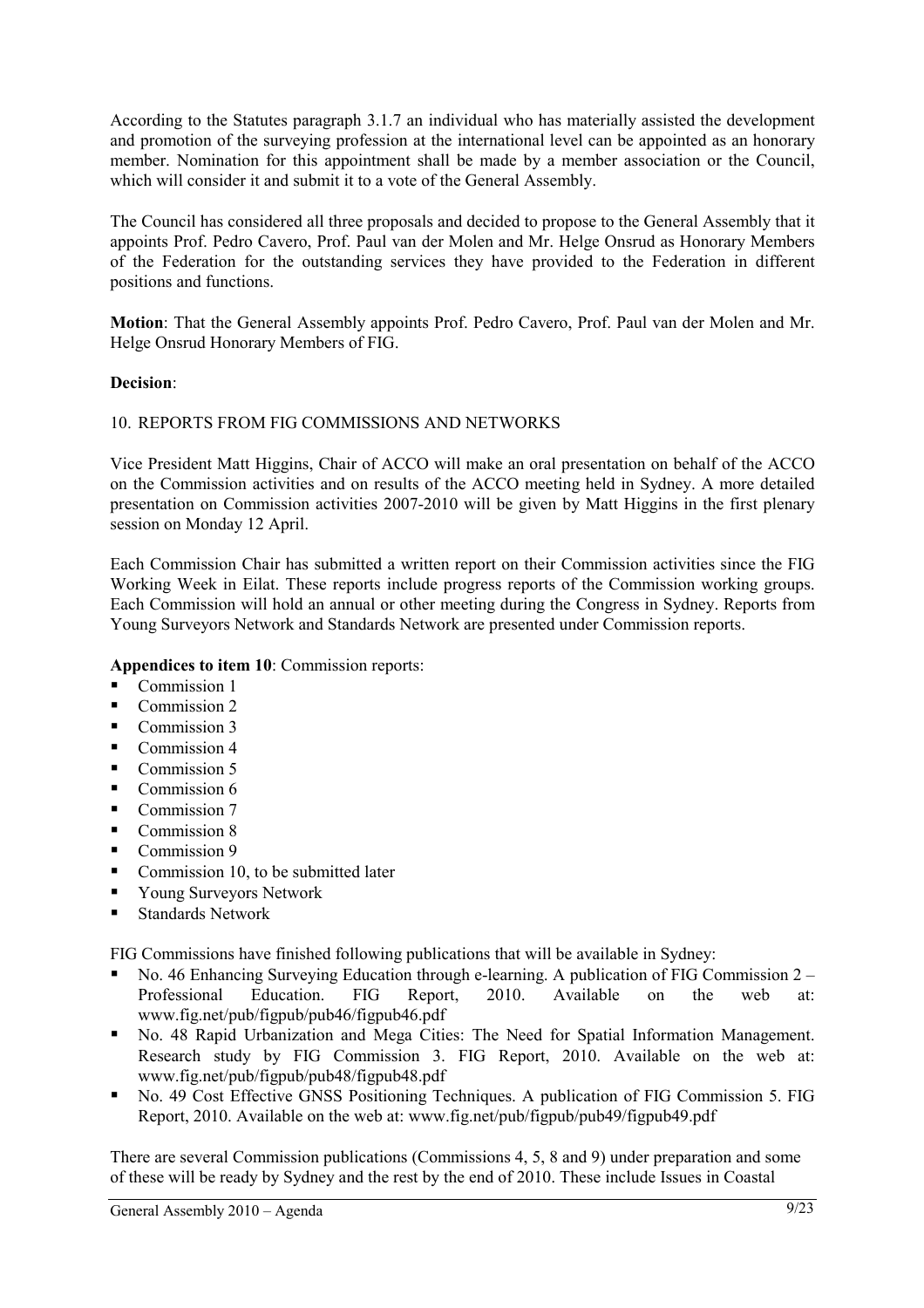According to the Statutes paragraph 3.1.7 an individual who has materially assisted the development and promotion of the surveying profession at the international level can be appointed as an honorary member. Nomination for this appointment shall be made by a member association or the Council, which will consider it and submit it to a vote of the General Assembly.

The Council has considered all three proposals and decided to propose to the General Assembly that it appoints Prof. Pedro Cavero, Prof. Paul van der Molen and Mr. Helge Onsrud as Honorary Members of the Federation for the outstanding services they have provided to the Federation in different positions and functions.

**Motion**: That the General Assembly appoints Prof. Pedro Cavero, Prof. Paul van der Molen and Mr. Helge Onsrud Honorary Members of FIG.

## **Decision**:

## 10. REPORTS FROM FIG COMMISSIONS AND NETWORKS

Vice President Matt Higgins, Chair of ACCO will make an oral presentation on behalf of the ACCO on the Commission activities and on results of the ACCO meeting held in Sydney. A more detailed presentation on Commission activities 2007-2010 will be given by Matt Higgins in the first plenary session on Monday 12 April.

Each Commission Chair has submitted a written report on their Commission activities since the FIG Working Week in Eilat. These reports include progress reports of the Commission working groups. Each Commission will hold an annual or other meeting during the Congress in Sydney. Reports from Young Surveyors Network and Standards Network are presented under Commission reports.

## **Appendices to item 10**: Commission reports:

- Commission 1
- Commission 2
- Commission 3
- $\blacksquare$  Commission 4
- Commission 5
- Commission 6
- $\blacksquare$  Commission 7
- Commission 8
- Commission 9
- Commission 10, to be submitted later
- Young Surveyors Network
- Standards Network

FIG Commissions have finished following publications that will be available in Sydney:

- No. 46 Enhancing Surveying Education through e-learning. A publication of FIG Commission 2 Professional Education. FIG Report, 2010. Available on the web at: www.fig.net/pub/figpub/pub46/figpub46.pdf
- No. 48 Rapid Urbanization and Mega Cities: The Need for Spatial Information Management. Research study by FIG Commission 3. FIG Report, 2010. Available on the web at: www.fig.net/pub/figpub/pub48/figpub48.pdf
- No. 49 Cost Effective GNSS Positioning Techniques. A publication of FIG Commission 5. FIG Report, 2010. Available on the web at: www.fig.net/pub/figpub/pub49/figpub49.pdf

There are several Commission publications (Commissions 4, 5, 8 and 9) under preparation and some of these will be ready by Sydney and the rest by the end of 2010. These include Issues in Coastal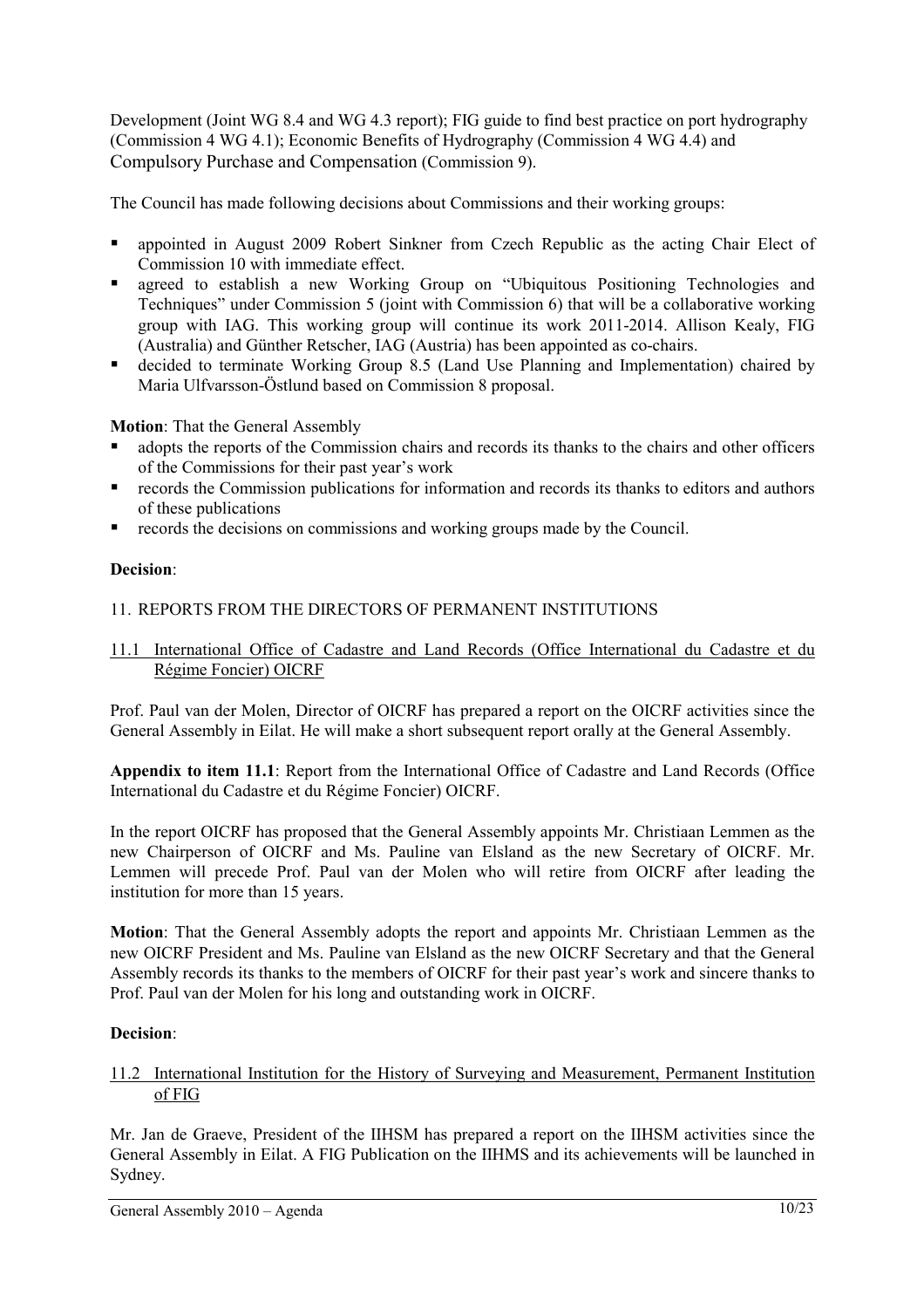Development (Joint WG 8.4 and WG 4.3 report); FIG guide to find best practice on port hydrography (Commission 4 WG 4.1); Economic Benefits of Hydrography (Commission 4 WG 4.4) and Compulsory Purchase and Compensation (Commission 9).

The Council has made following decisions about Commissions and their working groups:

- appointed in August 2009 Robert Sinkner from Czech Republic as the acting Chair Elect of Commission 10 with immediate effect.
- agreed to establish a new Working Group on "Ubiquitous Positioning Technologies and Techniques" under Commission 5 (joint with Commission 6) that will be a collaborative working group with IAG. This working group will continue its work 2011-2014. Allison Kealy, FIG (Australia) and Günther Retscher, IAG (Austria) has been appointed as co-chairs.
- decided to terminate Working Group 8.5 (Land Use Planning and Implementation) chaired by Maria Ulfvarsson-Östlund based on Commission 8 proposal.

**Motion**: That the General Assembly

- adopts the reports of the Commission chairs and records its thanks to the chairs and other officers of the Commissions for their past year's work
- records the Commission publications for information and records its thanks to editors and authors of these publications
- records the decisions on commissions and working groups made by the Council.

## **Decision**:

## 11. REPORTS FROM THE DIRECTORS OF PERMANENT INSTITUTIONS

## 11.1 International Office of Cadastre and Land Records (Office International du Cadastre et du Régime Foncier) OICRF

Prof. Paul van der Molen, Director of OICRF has prepared a report on the OICRF activities since the General Assembly in Eilat. He will make a short subsequent report orally at the General Assembly.

**Appendix to item 11.1**: Report from the International Office of Cadastre and Land Records (Office International du Cadastre et du Régime Foncier) OICRF.

In the report OICRF has proposed that the General Assembly appoints Mr. Christiaan Lemmen as the new Chairperson of OICRF and Ms. Pauline van Elsland as the new Secretary of OICRF. Mr. Lemmen will precede Prof. Paul van der Molen who will retire from OICRF after leading the institution for more than 15 years.

**Motion**: That the General Assembly adopts the report and appoints Mr. Christiaan Lemmen as the new OICRF President and Ms. Pauline van Elsland as the new OICRF Secretary and that the General Assembly records its thanks to the members of OICRF for their past year's work and sincere thanks to Prof. Paul van der Molen for his long and outstanding work in OICRF.

## **Decision**:

## 11.2 International Institution for the History of Surveying and Measurement, Permanent Institution of FIG

Mr. Jan de Graeve, President of the IIHSM has prepared a report on the IIHSM activities since the General Assembly in Eilat. A FIG Publication on the IIHMS and its achievements will be launched in Sydney.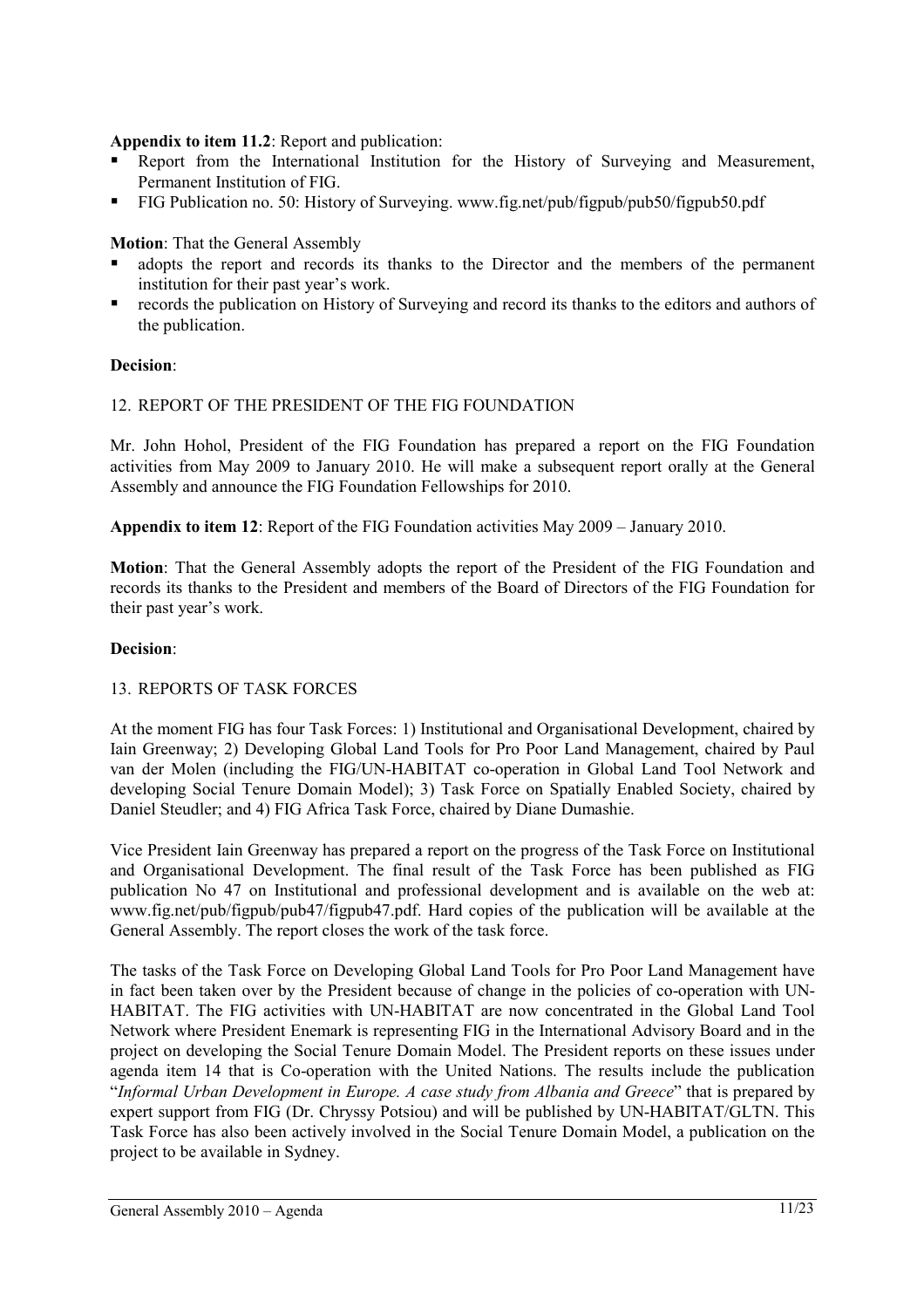## **Appendix to item 11.2**: Report and publication:

- Report from the International Institution for the History of Surveying and Measurement, Permanent Institution of FIG.
- FIG Publication no. 50: History of Surveying. www.fig.net/pub/figpub/pub50/figpub50.pdf

## **Motion**: That the General Assembly

- adopts the report and records its thanks to the Director and the members of the permanent institution for their past year's work.
- records the publication on History of Surveying and record its thanks to the editors and authors of the publication.

## **Decision**:

## 12. REPORT OF THE PRESIDENT OF THE FIG FOUNDATION

Mr. John Hohol, President of the FIG Foundation has prepared a report on the FIG Foundation activities from May 2009 to January 2010. He will make a subsequent report orally at the General Assembly and announce the FIG Foundation Fellowships for 2010.

**Appendix to item 12**: Report of the FIG Foundation activities May 2009 – January 2010.

**Motion**: That the General Assembly adopts the report of the President of the FIG Foundation and records its thanks to the President and members of the Board of Directors of the FIG Foundation for their past year's work.

## **Decision**:

## 13. REPORTS OF TASK FORCES

At the moment FIG has four Task Forces: 1) Institutional and Organisational Development, chaired by Iain Greenway; 2) Developing Global Land Tools for Pro Poor Land Management, chaired by Paul van der Molen (including the FIG/UN-HABITAT co-operation in Global Land Tool Network and developing Social Tenure Domain Model); 3) Task Force on Spatially Enabled Society, chaired by Daniel Steudler; and 4) FIG Africa Task Force, chaired by Diane Dumashie.

Vice President Iain Greenway has prepared a report on the progress of the Task Force on Institutional and Organisational Development. The final result of the Task Force has been published as FIG publication No 47 on Institutional and professional development and is available on the web at: www.fig.net/pub/figpub/pub47/figpub47.pdf. Hard copies of the publication will be available at the General Assembly. The report closes the work of the task force.

The tasks of the Task Force on Developing Global Land Tools for Pro Poor Land Management have in fact been taken over by the President because of change in the policies of co-operation with UN-HABITAT. The FIG activities with UN-HABITAT are now concentrated in the Global Land Tool Network where President Enemark is representing FIG in the International Advisory Board and in the project on developing the Social Tenure Domain Model. The President reports on these issues under agenda item 14 that is Co-operation with the United Nations. The results include the publication "*Informal Urban Development in Europe. A case study from Albania and Greece*" that is prepared by expert support from FIG (Dr. Chryssy Potsiou) and will be published by UN-HABITAT/GLTN. This Task Force has also been actively involved in the Social Tenure Domain Model, a publication on the project to be available in Sydney.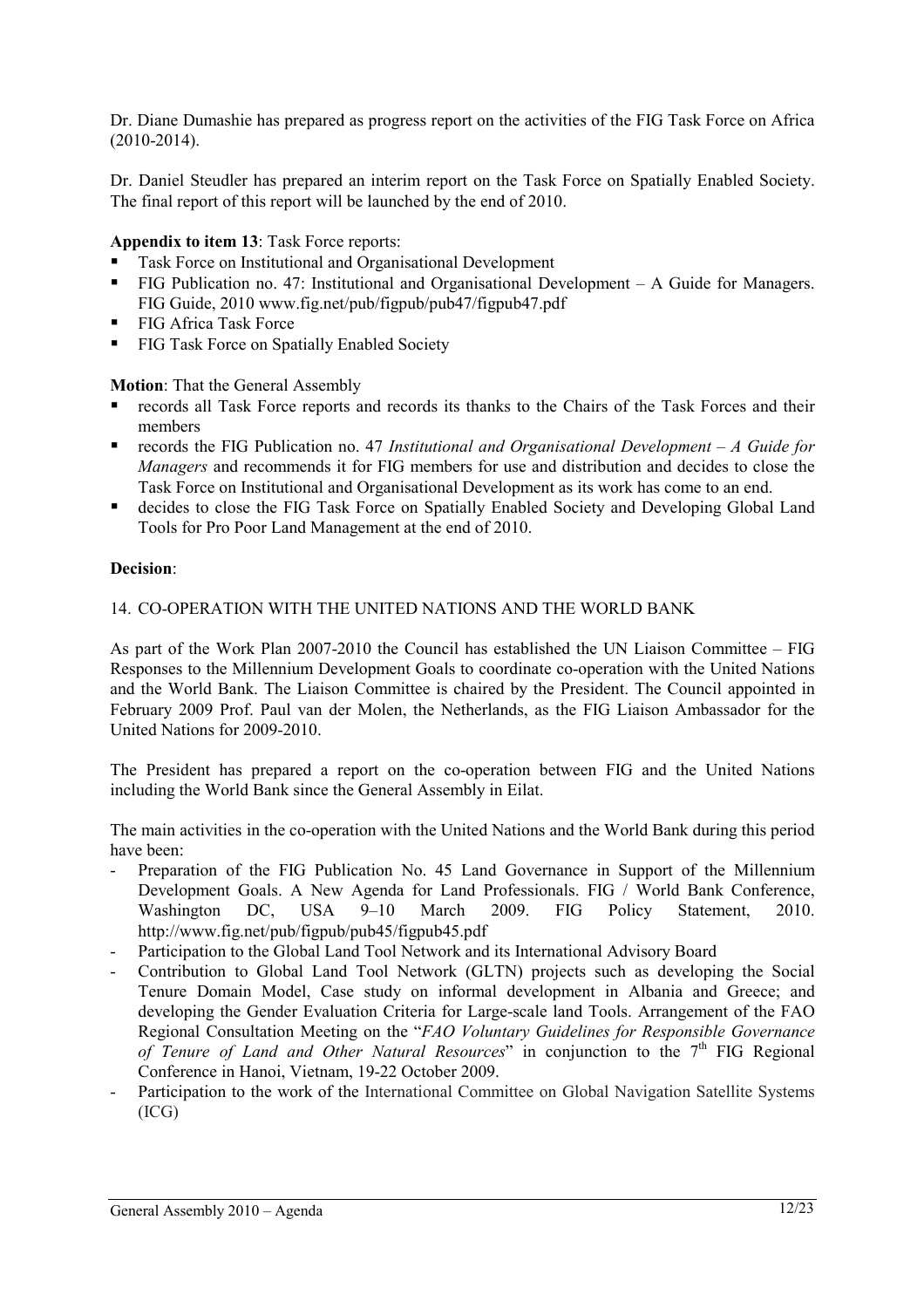Dr. Diane Dumashie has prepared as progress report on the activities of the FIG Task Force on Africa (2010-2014).

Dr. Daniel Steudler has prepared an interim report on the Task Force on Spatially Enabled Society. The final report of this report will be launched by the end of 2010.

## **Appendix to item 13**: Task Force reports:

- Task Force on Institutional and Organisational Development
- FIG Publication no. 47: Institutional and Organisational Development A Guide for Managers. FIG Guide, 2010 www.fig.net/pub/figpub/pub47/figpub47.pdf
- FIG Africa Task Force
- **FIG Task Force on Spatially Enabled Society**

## **Motion**: That the General Assembly

- records all Task Force reports and records its thanks to the Chairs of the Task Forces and their members
- records the FIG Publication no. 47 *Institutional and Organisational Development A Guide for Managers* and recommends it for FIG members for use and distribution and decides to close the Task Force on Institutional and Organisational Development as its work has come to an end.
- decides to close the FIG Task Force on Spatially Enabled Society and Developing Global Land Tools for Pro Poor Land Management at the end of 2010.

## **Decision**:

## 14. CO-OPERATION WITH THE UNITED NATIONS AND THE WORLD BANK

As part of the Work Plan 2007-2010 the Council has established the UN Liaison Committee – FIG Responses to the Millennium Development Goals to coordinate co-operation with the United Nations and the World Bank. The Liaison Committee is chaired by the President. The Council appointed in February 2009 Prof. Paul van der Molen, the Netherlands, as the FIG Liaison Ambassador for the United Nations for 2009-2010.

The President has prepared a report on the co-operation between FIG and the United Nations including the World Bank since the General Assembly in Eilat.

The main activities in the co-operation with the United Nations and the World Bank during this period have been:

- Preparation of the FIG Publication No. 45 Land Governance in Support of the Millennium Development Goals. A New Agenda for Land Professionals. FIG / World Bank Conference, Washington DC. USA 9-10 March 2009. FIG Policy Statement, 2010. http://www.fig.net/pub/figpub/pub45/figpub45.pdf
- Participation to the Global Land Tool Network and its International Advisory Board
- Contribution to Global Land Tool Network (GLTN) projects such as developing the Social Tenure Domain Model, Case study on informal development in Albania and Greece; and developing the Gender Evaluation Criteria for Large-scale land Tools. Arrangement of the FAO Regional Consultation Meeting on the "*FAO Voluntary Guidelines for Responsible Governance*  of Tenure of Land and Other Natural Resources" in conjunction to the 7<sup>th</sup> FIG Regional Conference in Hanoi, Vietnam, 19-22 October 2009.
- Participation to the work of the International Committee on Global Navigation Satellite Systems (ICG)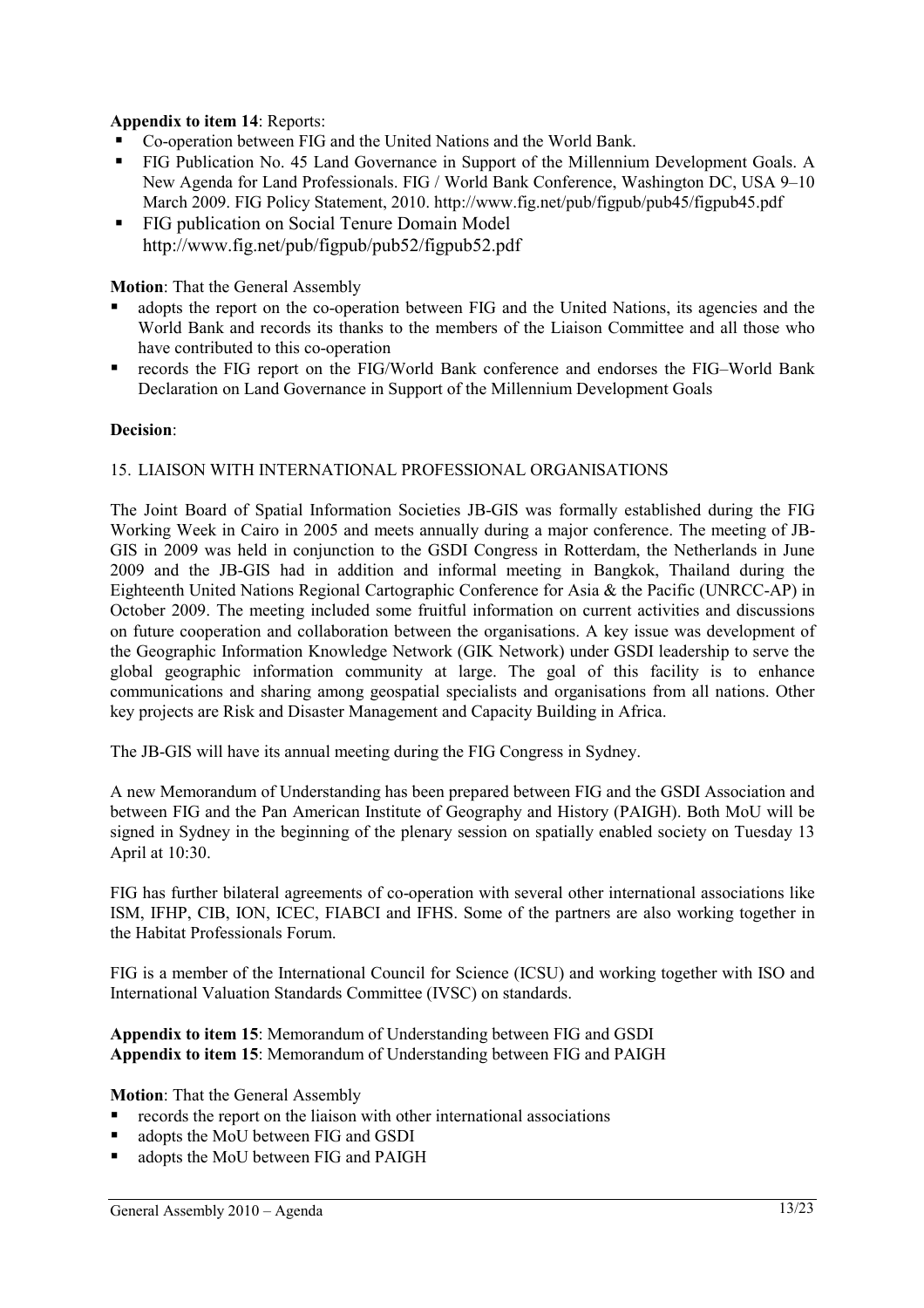## **Appendix to item 14**: Reports:

- Co-operation between FIG and the United Nations and the World Bank.
- FIG Publication No. 45 Land Governance in Support of the Millennium Development Goals. A New Agenda for Land Professionals. FIG / World Bank Conference, Washington DC, USA 9–10 March 2009. FIG Policy Statement, 2010. http://www.fig.net/pub/figpub/pub45/figpub45.pdf
- FIG publication on Social Tenure Domain Model http://www.fig.net/pub/figpub/pub52/figpub52.pdf

**Motion**: That the General Assembly

- adopts the report on the co-operation between FIG and the United Nations, its agencies and the World Bank and records its thanks to the members of the Liaison Committee and all those who have contributed to this co-operation
- records the FIG report on the FIG/World Bank conference and endorses the FIG–World Bank Declaration on Land Governance in Support of the Millennium Development Goals

## **Decision**:

#### 15. LIAISON WITH INTERNATIONAL PROFESSIONAL ORGANISATIONS

The Joint Board of Spatial Information Societies JB-GIS was formally established during the FIG Working Week in Cairo in 2005 and meets annually during a major conference. The meeting of JB-GIS in 2009 was held in conjunction to the GSDI Congress in Rotterdam, the Netherlands in June 2009 and the JB-GIS had in addition and informal meeting in Bangkok, Thailand during the Eighteenth United Nations Regional Cartographic Conference for Asia & the Pacific (UNRCC-AP) in October 2009. The meeting included some fruitful information on current activities and discussions on future cooperation and collaboration between the organisations. A key issue was development of the Geographic Information Knowledge Network (GIK Network) under GSDI leadership to serve the global geographic information community at large. The goal of this facility is to enhance communications and sharing among geospatial specialists and organisations from all nations. Other key projects are Risk and Disaster Management and Capacity Building in Africa.

The JB-GIS will have its annual meeting during the FIG Congress in Sydney.

A new Memorandum of Understanding has been prepared between FIG and the GSDI Association and between FIG and the Pan American Institute of Geography and History (PAIGH). Both MoU will be signed in Sydney in the beginning of the plenary session on spatially enabled society on Tuesday 13 April at 10:30.

FIG has further bilateral agreements of co-operation with several other international associations like ISM, IFHP, CIB, ION, ICEC, FIABCI and IFHS. Some of the partners are also working together in the Habitat Professionals Forum.

FIG is a member of the International Council for Science (ICSU) and working together with ISO and International Valuation Standards Committee (IVSC) on standards.

**Appendix to item 15**: Memorandum of Understanding between FIG and GSDI **Appendix to item 15**: Memorandum of Understanding between FIG and PAIGH

**Motion**: That the General Assembly

- records the report on the liaison with other international associations
- adopts the MoU between FIG and GSDI
- adopts the MoU between FIG and PAIGH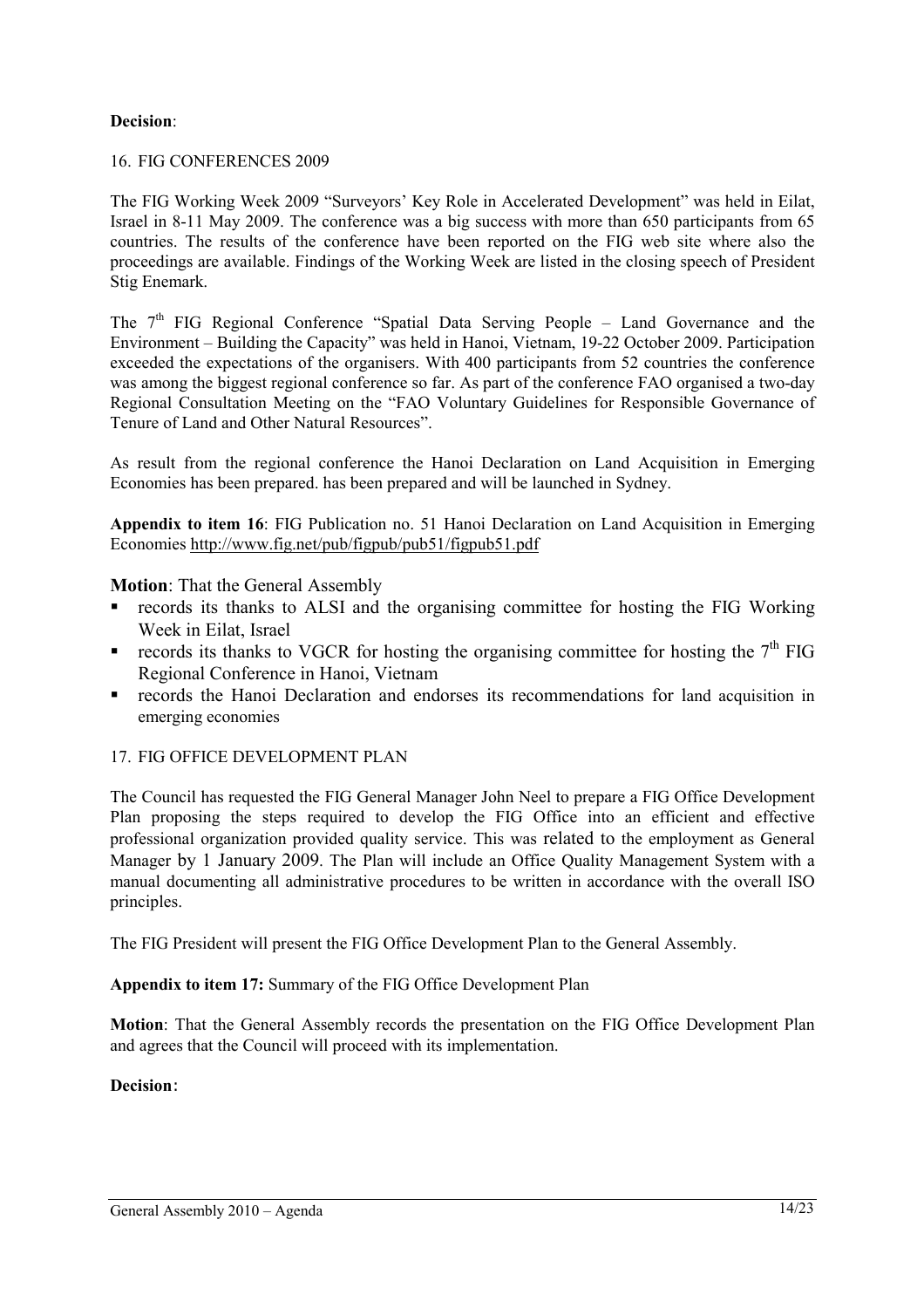## **Decision**:

#### 16. FIG CONFERENCES 2009

The FIG Working Week 2009 "Surveyors' Key Role in Accelerated Development" was held in Eilat, Israel in 8-11 May 2009. The conference was a big success with more than 650 participants from 65 countries. The results of the conference have been reported on the FIG web site where also the proceedings are available. Findings of the Working Week are listed in the closing speech of President Stig Enemark.

The 7<sup>th</sup> FIG Regional Conference "Spatial Data Serving People – Land Governance and the Environment – Building the Capacity" was held in Hanoi, Vietnam, 19-22 October 2009. Participation exceeded the expectations of the organisers. With 400 participants from 52 countries the conference was among the biggest regional conference so far. As part of the conference FAO organised a two-day Regional Consultation Meeting on the "FAO Voluntary Guidelines for Responsible Governance of Tenure of Land and Other Natural Resources".

As result from the regional conference the Hanoi Declaration on Land Acquisition in Emerging Economies has been prepared. has been prepared and will be launched in Sydney.

**Appendix to item 16**: FIG Publication no. 51 Hanoi Declaration on Land Acquisition in Emerging Economies http://www.fig.net/pub/figpub/pub51/figpub51.pdf

**Motion**: That the General Assembly

- records its thanks to ALSI and the organising committee for hosting the FIG Working Week in Eilat, Israel
- records its thanks to VGCR for hosting the organising committee for hosting the  $7<sup>th</sup>$  FIG Regional Conference in Hanoi, Vietnam
- **records the Hanoi Declaration and endorses its recommendations for land acquisition in** emerging economies

## 17. FIG OFFICE DEVELOPMENT PLAN

The Council has requested the FIG General Manager John Neel to prepare a FIG Office Development Plan proposing the steps required to develop the FIG Office into an efficient and effective professional organization provided quality service. This was related to the employment as General Manager by 1 January 2009. The Plan will include an Office Quality Management System with a manual documenting all administrative procedures to be written in accordance with the overall ISO principles.

The FIG President will present the FIG Office Development Plan to the General Assembly.

**Appendix to item 17:** Summary of the FIG Office Development Plan

**Motion**: That the General Assembly records the presentation on the FIG Office Development Plan and agrees that the Council will proceed with its implementation.

#### **Decision**: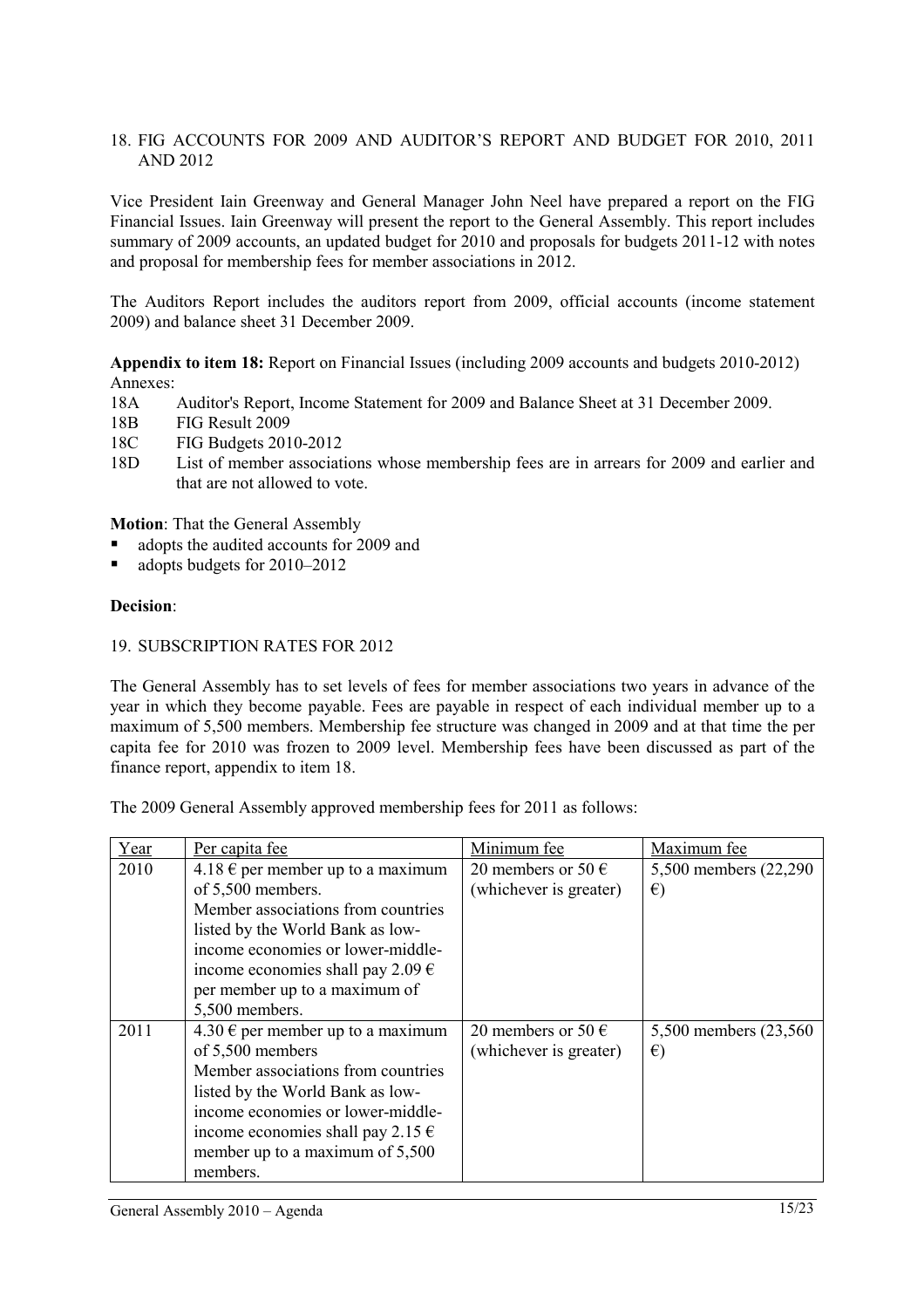## 18. FIG ACCOUNTS FOR 2009 AND AUDITOR'S REPORT AND BUDGET FOR 2010, 2011 AND 2012

Vice President Iain Greenway and General Manager John Neel have prepared a report on the FIG Financial Issues. Iain Greenway will present the report to the General Assembly. This report includes summary of 2009 accounts, an updated budget for 2010 and proposals for budgets 2011-12 with notes and proposal for membership fees for member associations in 2012.

The Auditors Report includes the auditors report from 2009, official accounts (income statement 2009) and balance sheet 31 December 2009.

**Appendix to item 18:** Report on Financial Issues (including 2009 accounts and budgets 2010-2012) Annexes:

- 18A Auditor's Report, Income Statement for 2009 and Balance Sheet at 31 December 2009.
- 18B FIG Result 2009
- 18C FIG Budgets 2010-2012
- 18D List of member associations whose membership fees are in arrears for 2009 and earlier and that are not allowed to vote.

**Motion**: That the General Assembly

- adopts the audited accounts for 2009 and
- adopts budgets for 2010–2012

#### **Decision**:

#### 19. SUBSCRIPTION RATES FOR 2012

The General Assembly has to set levels of fees for member associations two years in advance of the year in which they become payable. Fees are payable in respect of each individual member up to a maximum of 5,500 members. Membership fee structure was changed in 2009 and at that time the per capita fee for 2010 was frozen to 2009 level. Membership fees have been discussed as part of the finance report, appendix to item 18.

The 2009 General Assembly approved membership fees for 2011 as follows:

| Year | Per capita fee                             | Minimum fee                 | Maximum fee            |
|------|--------------------------------------------|-----------------------------|------------------------|
| 2010 | 4.18 $\epsilon$ per member up to a maximum | 20 members or 50 $\in$      | 5,500 members (22,290) |
|      | of 5,500 members.                          | (whichever is greater)      | $\epsilon$             |
|      | Member associations from countries         |                             |                        |
|      | listed by the World Bank as low-           |                             |                        |
|      | income economies or lower-middle-          |                             |                        |
|      | income economies shall pay 2.09 $\epsilon$ |                             |                        |
|      | per member up to a maximum of              |                             |                        |
|      | 5,500 members.                             |                             |                        |
| 2011 | 4.30 € per member up to a maximum          | 20 members or 50 $\epsilon$ | 5,500 members (23,560) |
|      | of 5,500 members                           | (whichever is greater)      | $\epsilon$             |
|      | Member associations from countries         |                             |                        |
|      | listed by the World Bank as low-           |                             |                        |
|      | income economies or lower-middle-          |                             |                        |
|      | income economies shall pay 2.15 $\epsilon$ |                             |                        |
|      | member up to a maximum of 5,500            |                             |                        |
|      | members.                                   |                             |                        |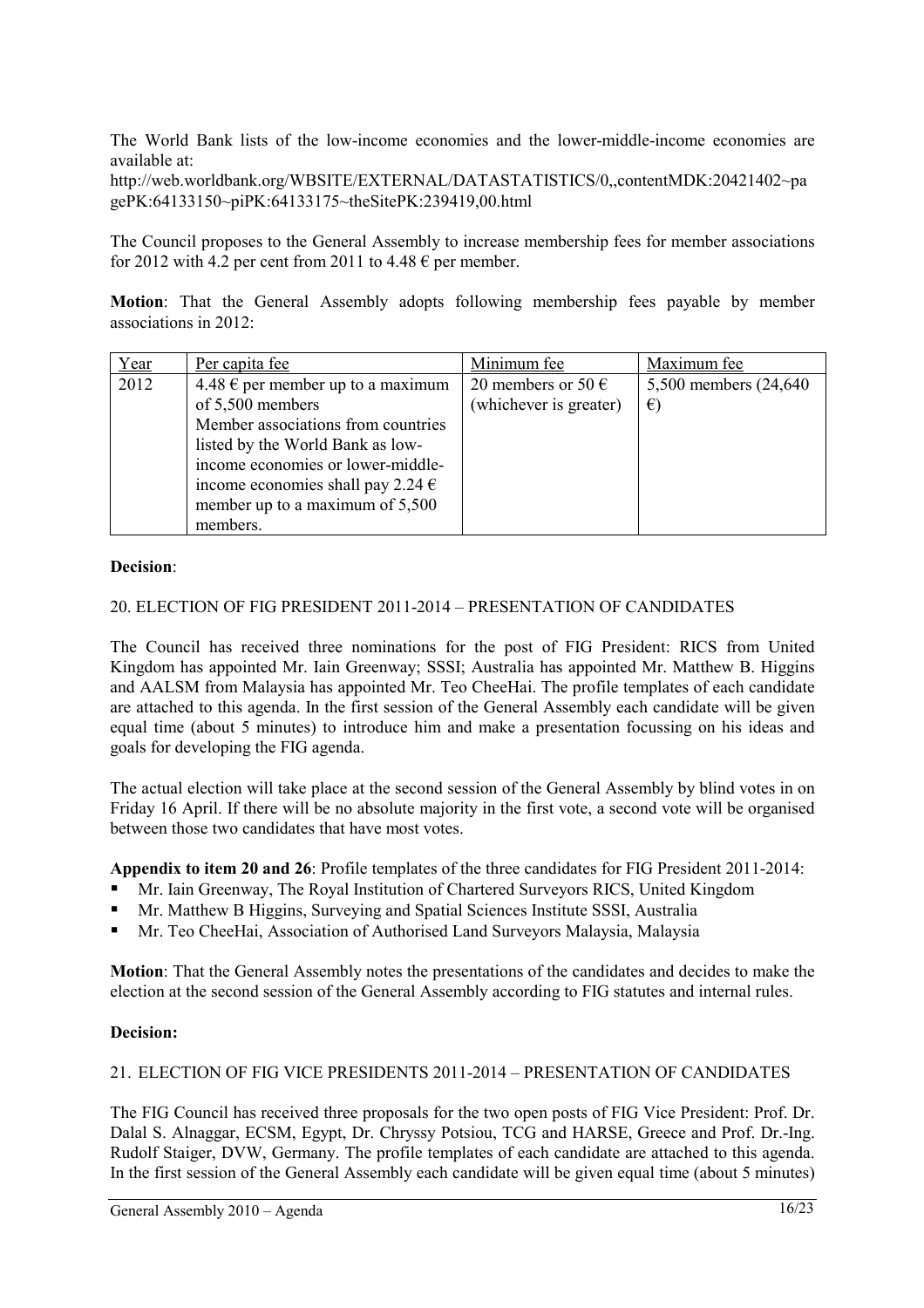The World Bank lists of the low-income economies and the lower-middle-income economies are available at:

http://web.worldbank.org/WBSITE/EXTERNAL/DATASTATISTICS/0,,contentMDK:20421402~pa gePK:64133150~piPK:64133175~theSitePK:239419,00.html

The Council proposes to the General Assembly to increase membership fees for member associations for 2012 with 4.2 per cent from 2011 to 4.48  $\epsilon$  per member.

**Motion**: That the General Assembly adopts following membership fees payable by member associations in 2012:

| Year | Per capita fee                             | Minimum fee                 | Maximum fee            |
|------|--------------------------------------------|-----------------------------|------------------------|
| 2012 | $4.48 \in$ per member up to a maximum      | 20 members or 50 $\epsilon$ | 5,500 members (24,640) |
|      | of 5,500 members                           | (whichever is greater)      | $\epsilon$             |
|      | Member associations from countries         |                             |                        |
|      | listed by the World Bank as low-           |                             |                        |
|      | income economies or lower-middle-          |                             |                        |
|      | income economies shall pay 2.24 $\epsilon$ |                             |                        |
|      | member up to a maximum of 5,500            |                             |                        |
|      | members.                                   |                             |                        |

#### **Decision**:

#### 20. ELECTION OF FIG PRESIDENT 2011-2014 – PRESENTATION OF CANDIDATES

The Council has received three nominations for the post of FIG President: RICS from United Kingdom has appointed Mr. Iain Greenway; SSSI; Australia has appointed Mr. Matthew B. Higgins and AALSM from Malaysia has appointed Mr. Teo CheeHai. The profile templates of each candidate are attached to this agenda. In the first session of the General Assembly each candidate will be given equal time (about 5 minutes) to introduce him and make a presentation focussing on his ideas and goals for developing the FIG agenda.

The actual election will take place at the second session of the General Assembly by blind votes in on Friday 16 April. If there will be no absolute majority in the first vote, a second vote will be organised between those two candidates that have most votes.

**Appendix to item 20 and 26**: Profile templates of the three candidates for FIG President 2011-2014:

- Mr. Iain Greenway, The Royal Institution of Chartered Surveyors RICS, United Kingdom
- Mr. Matthew B Higgins, Surveying and Spatial Sciences Institute SSSI, Australia
- Mr. Teo CheeHai, Association of Authorised Land Surveyors Malaysia, Malaysia

**Motion**: That the General Assembly notes the presentations of the candidates and decides to make the election at the second session of the General Assembly according to FIG statutes and internal rules.

#### **Decision:**

#### 21. ELECTION OF FIG VICE PRESIDENTS 2011-2014 – PRESENTATION OF CANDIDATES

The FIG Council has received three proposals for the two open posts of FIG Vice President: Prof. Dr. Dalal S. Alnaggar, ECSM, Egypt, Dr. Chryssy Potsiou, TCG and HARSE, Greece and Prof. Dr.-Ing. Rudolf Staiger, DVW, Germany. The profile templates of each candidate are attached to this agenda. In the first session of the General Assembly each candidate will be given equal time (about 5 minutes)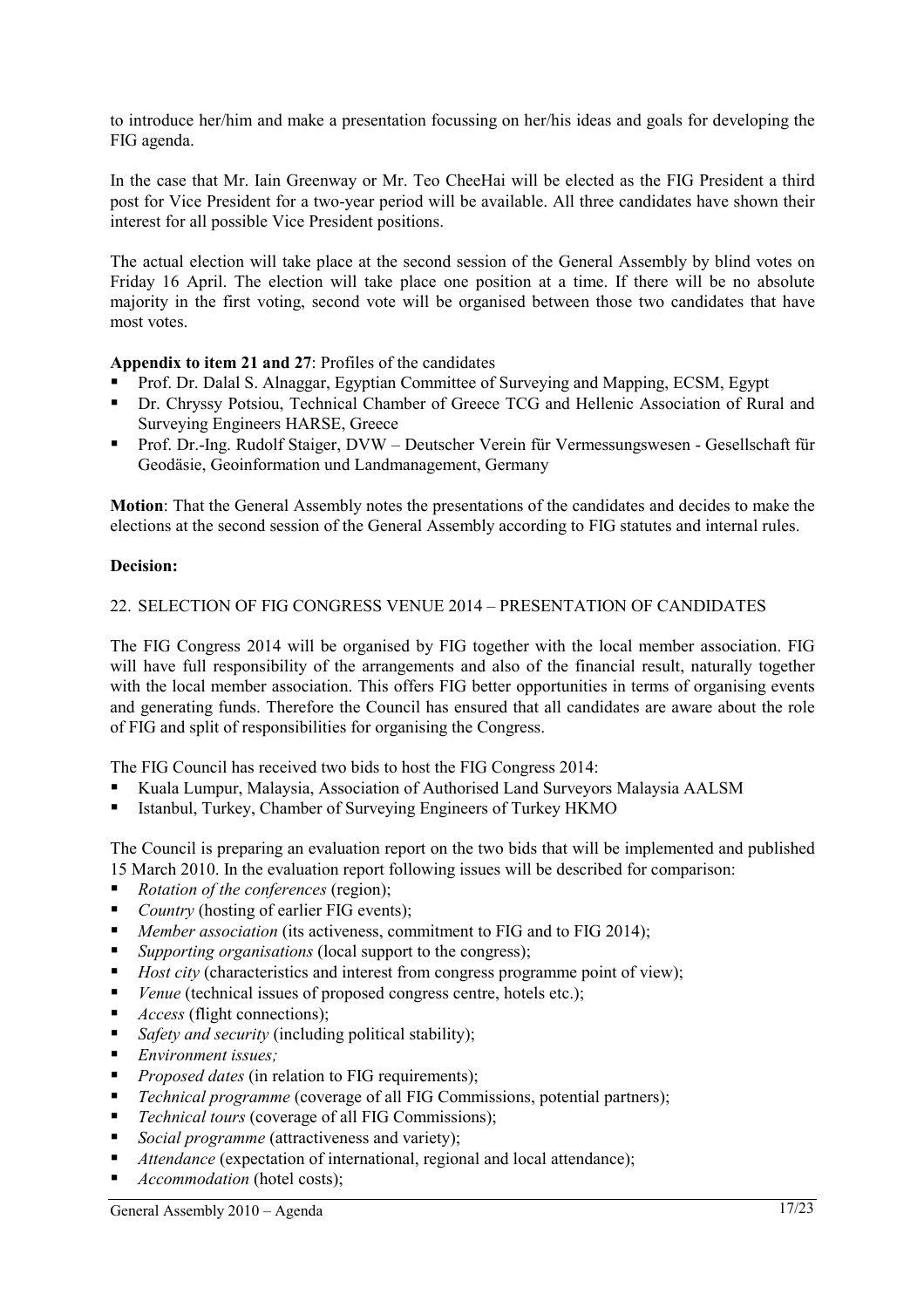to introduce her/him and make a presentation focussing on her/his ideas and goals for developing the FIG agenda.

In the case that Mr. Iain Greenway or Mr. Teo CheeHai will be elected as the FIG President a third post for Vice President for a two-year period will be available. All three candidates have shown their interest for all possible Vice President positions.

The actual election will take place at the second session of the General Assembly by blind votes on Friday 16 April. The election will take place one position at a time. If there will be no absolute majority in the first voting, second vote will be organised between those two candidates that have most votes.

## **Appendix to item 21 and 27**: Profiles of the candidates

- Prof. Dr. Dalal S. Alnaggar, Egyptian Committee of Surveying and Mapping, ECSM, Egypt
- Dr. Chryssy Potsiou, Technical Chamber of Greece TCG and Hellenic Association of Rural and Surveying Engineers HARSE, Greece
- Prof. Dr.-Ing. Rudolf Staiger, DVW Deutscher Verein für Vermessungswesen Gesellschaft für Geodäsie, Geoinformation und Landmanagement, Germany

**Motion**: That the General Assembly notes the presentations of the candidates and decides to make the elections at the second session of the General Assembly according to FIG statutes and internal rules.

#### **Decision:**

#### 22. SELECTION OF FIG CONGRESS VENUE 2014 – PRESENTATION OF CANDIDATES

The FIG Congress 2014 will be organised by FIG together with the local member association. FIG will have full responsibility of the arrangements and also of the financial result, naturally together with the local member association. This offers FIG better opportunities in terms of organising events and generating funds. Therefore the Council has ensured that all candidates are aware about the role of FIG and split of responsibilities for organising the Congress.

The FIG Council has received two bids to host the FIG Congress 2014:

- Kuala Lumpur, Malaysia, Association of Authorised Land Surveyors Malaysia AALSM
- Istanbul, Turkey, Chamber of Surveying Engineers of Turkey HKMO

The Council is preparing an evaluation report on the two bids that will be implemented and published 15 March 2010. In the evaluation report following issues will be described for comparison:

- *Rotation of the conferences* (region);
- *Country* (hosting of earlier FIG events):
- *Member association* (its activeness, commitment to FIG and to FIG 2014);
- *Supporting organisations* (local support to the congress);
- *Host city* (characteristics and interest from congress programme point of view);
- *Venue* (technical issues of proposed congress centre, hotels etc.);
- *Access* (flight connections);
- *Safety and security* (including political stability);
- *Environment issues;*
- **Proposed dates** (in relation to FIG requirements);
- *Technical programme* (coverage of all FIG Commissions, potential partners);
- *Technical tours* (coverage of all FIG Commissions);
- *Social programme* (attractiveness and variety);
- *Attendance* (expectation of international, regional and local attendance);
- *Accommodation* (hotel costs);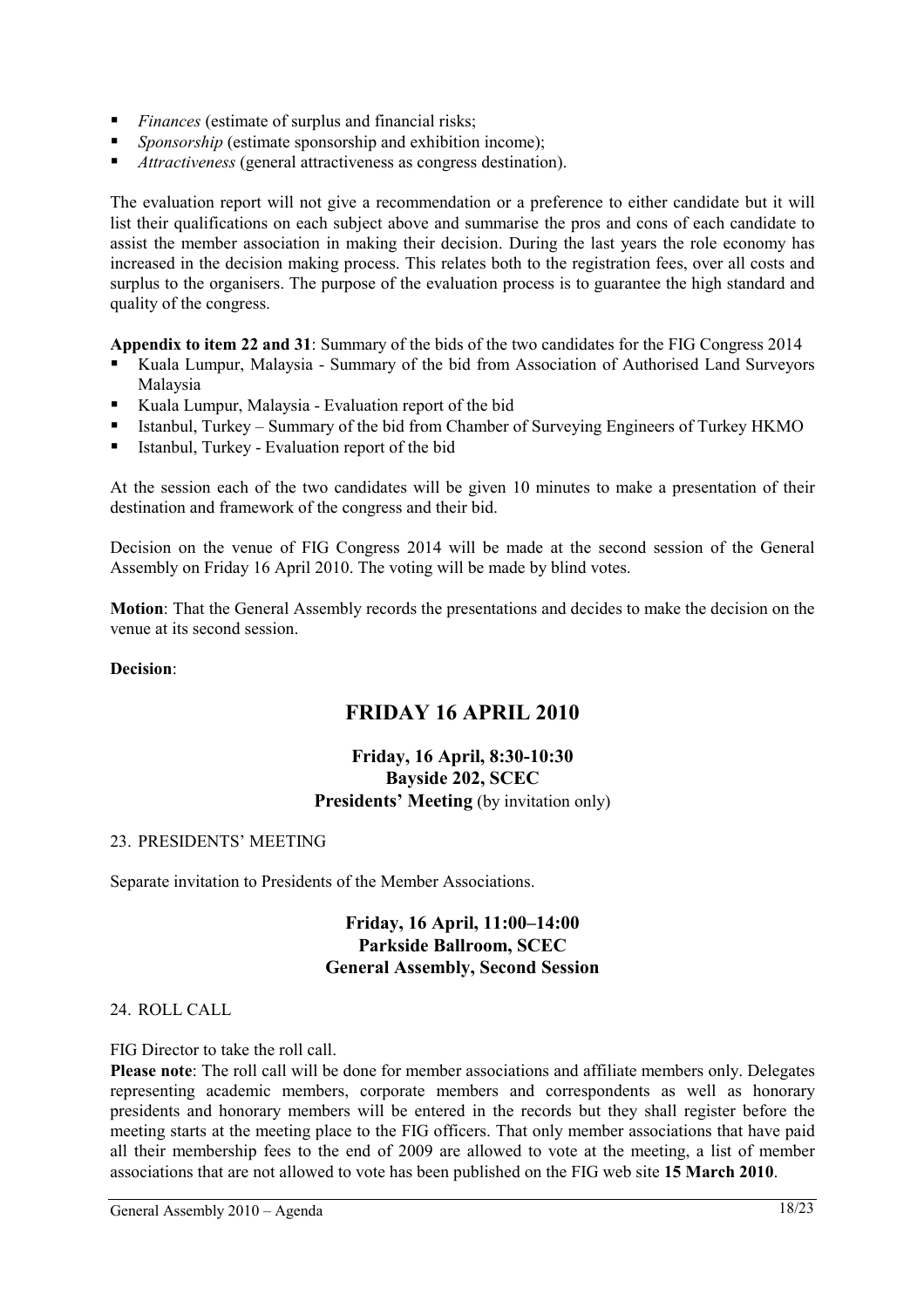- *Finances* (estimate of surplus and financial risks;
- **Sponsorship (estimate sponsorship and exhibition income);**
- *Attractiveness* (general attractiveness as congress destination).

The evaluation report will not give a recommendation or a preference to either candidate but it will list their qualifications on each subject above and summarise the pros and cons of each candidate to assist the member association in making their decision. During the last years the role economy has increased in the decision making process. This relates both to the registration fees, over all costs and surplus to the organisers. The purpose of the evaluation process is to guarantee the high standard and quality of the congress.

**Appendix to item 22 and 31**: Summary of the bids of the two candidates for the FIG Congress 2014

- Kuala Lumpur, Malaysia Summary of the bid from Association of Authorised Land Surveyors Malaysia
- Kuala Lumpur, Malaysia Evaluation report of the bid
- Istanbul, Turkey Summary of the bid from Chamber of Surveying Engineers of Turkey HKMO
- Istanbul, Turkey Evaluation report of the bid

At the session each of the two candidates will be given 10 minutes to make a presentation of their destination and framework of the congress and their bid.

Decision on the venue of FIG Congress 2014 will be made at the second session of the General Assembly on Friday 16 April 2010. The voting will be made by blind votes.

**Motion**: That the General Assembly records the presentations and decides to make the decision on the venue at its second session.

## **Decision**:

## **FRIDAY 16 APRIL 2010**

## **Friday, 16 April, 8:30-10:30 Bayside 202, SCEC Presidents' Meeting** (by invitation only)

#### 23. PRESIDENTS' MEETING

Separate invitation to Presidents of the Member Associations.

## **Friday, 16 April, 11:00–14:00 Parkside Ballroom, SCEC General Assembly, Second Session**

## 24. ROLL CALL

FIG Director to take the roll call.

**Please note**: The roll call will be done for member associations and affiliate members only. Delegates representing academic members, corporate members and correspondents as well as honorary presidents and honorary members will be entered in the records but they shall register before the meeting starts at the meeting place to the FIG officers. That only member associations that have paid all their membership fees to the end of 2009 are allowed to vote at the meeting, a list of member associations that are not allowed to vote has been published on the FIG web site **15 March 2010**.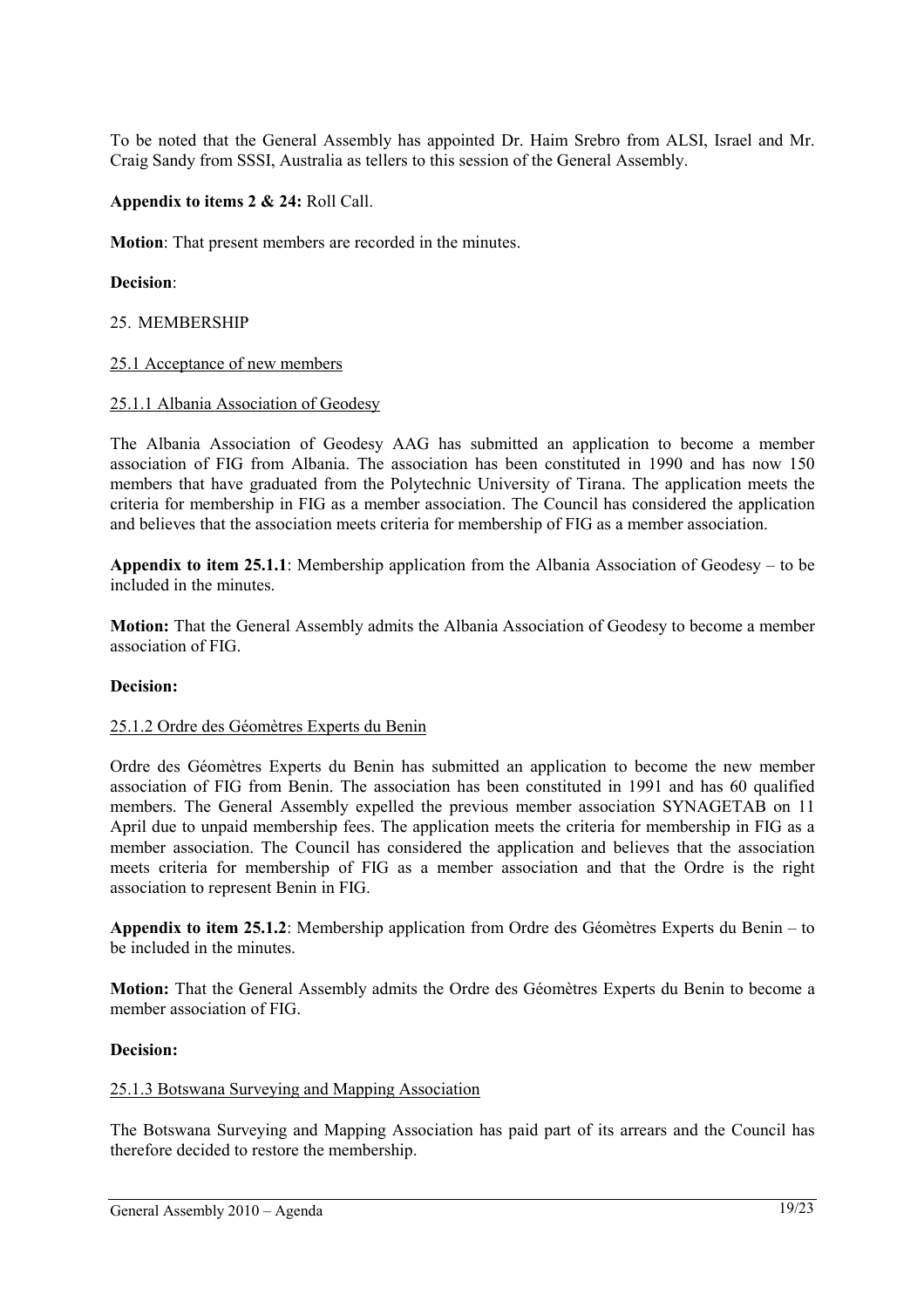To be noted that the General Assembly has appointed Dr. Haim Srebro from ALSI, Israel and Mr. Craig Sandy from SSSI, Australia as tellers to this session of the General Assembly.

#### **Appendix to items 2 & 24:** Roll Call.

**Motion**: That present members are recorded in the minutes.

#### **Decision**:

#### 25. MEMBERSHIP

#### 25.1 Acceptance of new members

#### 25.1.1 Albania Association of Geodesy

The Albania Association of Geodesy AAG has submitted an application to become a member association of FIG from Albania. The association has been constituted in 1990 and has now 150 members that have graduated from the Polytechnic University of Tirana. The application meets the criteria for membership in FIG as a member association. The Council has considered the application and believes that the association meets criteria for membership of FIG as a member association.

**Appendix to item 25.1.1**: Membership application from the Albania Association of Geodesy – to be included in the minutes.

**Motion:** That the General Assembly admits the Albania Association of Geodesy to become a member association of FIG.

#### **Decision:**

#### 25.1.2 Ordre des Géomètres Experts du Benin

Ordre des Géomètres Experts du Benin has submitted an application to become the new member association of FIG from Benin. The association has been constituted in 1991 and has 60 qualified members. The General Assembly expelled the previous member association SYNAGETAB on 11 April due to unpaid membership fees. The application meets the criteria for membership in FIG as a member association. The Council has considered the application and believes that the association meets criteria for membership of FIG as a member association and that the Ordre is the right association to represent Benin in FIG.

**Appendix to item 25.1.2**: Membership application from Ordre des Géomètres Experts du Benin – to be included in the minutes.

**Motion:** That the General Assembly admits the Ordre des Géomètres Experts du Benin to become a member association of FIG.

#### **Decision:**

#### 25.1.3 Botswana Surveying and Mapping Association

The Botswana Surveying and Mapping Association has paid part of its arrears and the Council has therefore decided to restore the membership.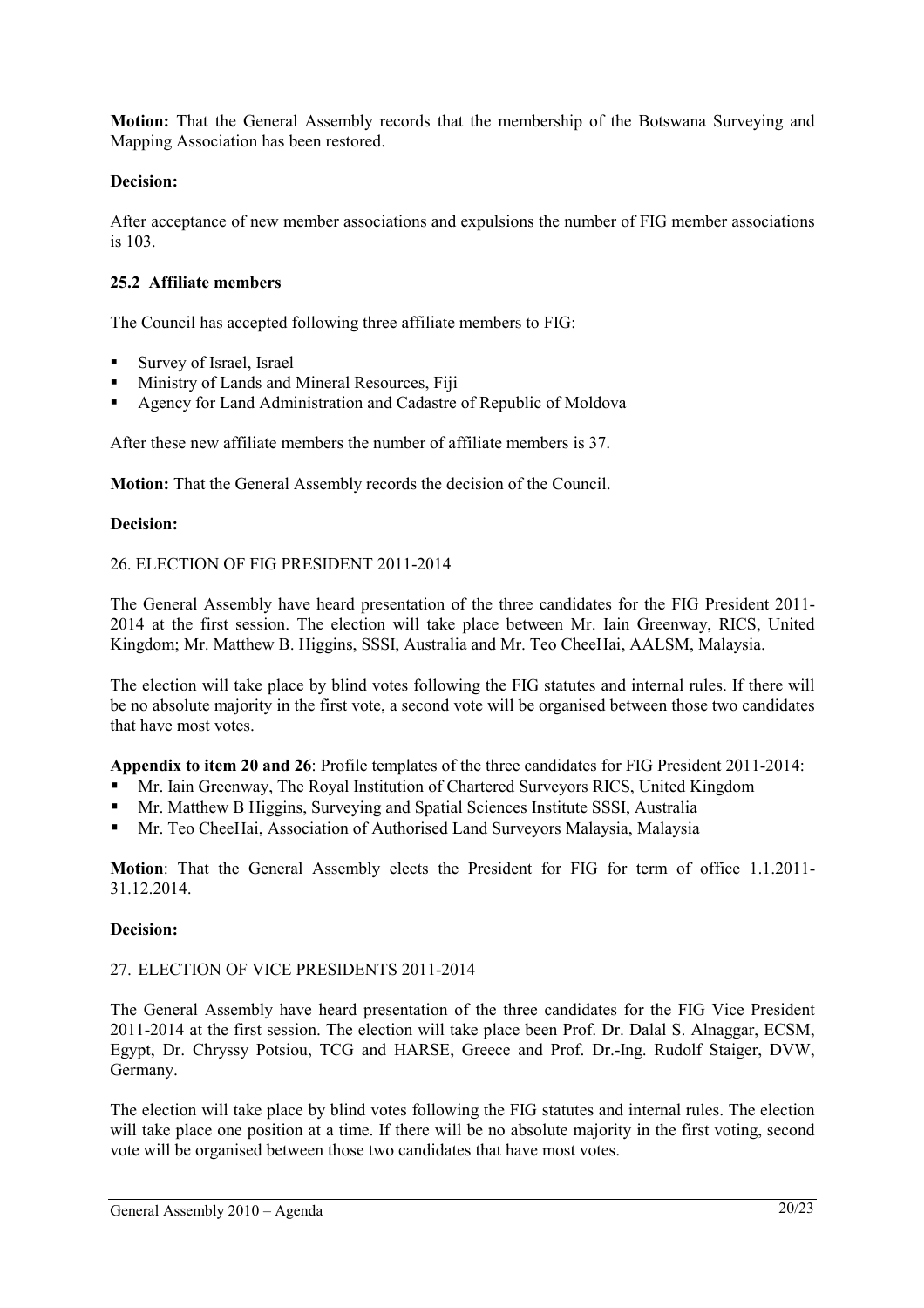**Motion:** That the General Assembly records that the membership of the Botswana Surveying and Mapping Association has been restored.

## **Decision:**

After acceptance of new member associations and expulsions the number of FIG member associations is 103.

## **25.2 Affiliate members**

The Council has accepted following three affiliate members to FIG:

- Survey of Israel, Israel
- Ministry of Lands and Mineral Resources, Fiji
- Agency for Land Administration and Cadastre of Republic of Moldova

After these new affiliate members the number of affiliate members is 37.

**Motion:** That the General Assembly records the decision of the Council.

#### **Decision:**

#### 26. ELECTION OF FIG PRESIDENT 2011-2014

The General Assembly have heard presentation of the three candidates for the FIG President 2011- 2014 at the first session. The election will take place between Mr. Iain Greenway, RICS, United Kingdom; Mr. Matthew B. Higgins, SSSI, Australia and Mr. Teo CheeHai, AALSM, Malaysia.

The election will take place by blind votes following the FIG statutes and internal rules. If there will be no absolute majority in the first vote, a second vote will be organised between those two candidates that have most votes.

**Appendix to item 20 and 26**: Profile templates of the three candidates for FIG President 2011-2014:

- Mr. Iain Greenway, The Royal Institution of Chartered Surveyors RICS, United Kingdom
- Mr. Matthew B Higgins, Surveying and Spatial Sciences Institute SSSI, Australia
- Mr. Teo CheeHai, Association of Authorised Land Surveyors Malaysia, Malaysia

**Motion**: That the General Assembly elects the President for FIG for term of office 1.1.2011- 31.12.2014.

#### **Decision:**

#### 27. ELECTION OF VICE PRESIDENTS 2011-2014

The General Assembly have heard presentation of the three candidates for the FIG Vice President 2011-2014 at the first session. The election will take place been Prof. Dr. Dalal S. Alnaggar, ECSM, Egypt, Dr. Chryssy Potsiou, TCG and HARSE, Greece and Prof. Dr.-Ing. Rudolf Staiger, DVW, Germany.

The election will take place by blind votes following the FIG statutes and internal rules. The election will take place one position at a time. If there will be no absolute majority in the first voting, second vote will be organised between those two candidates that have most votes.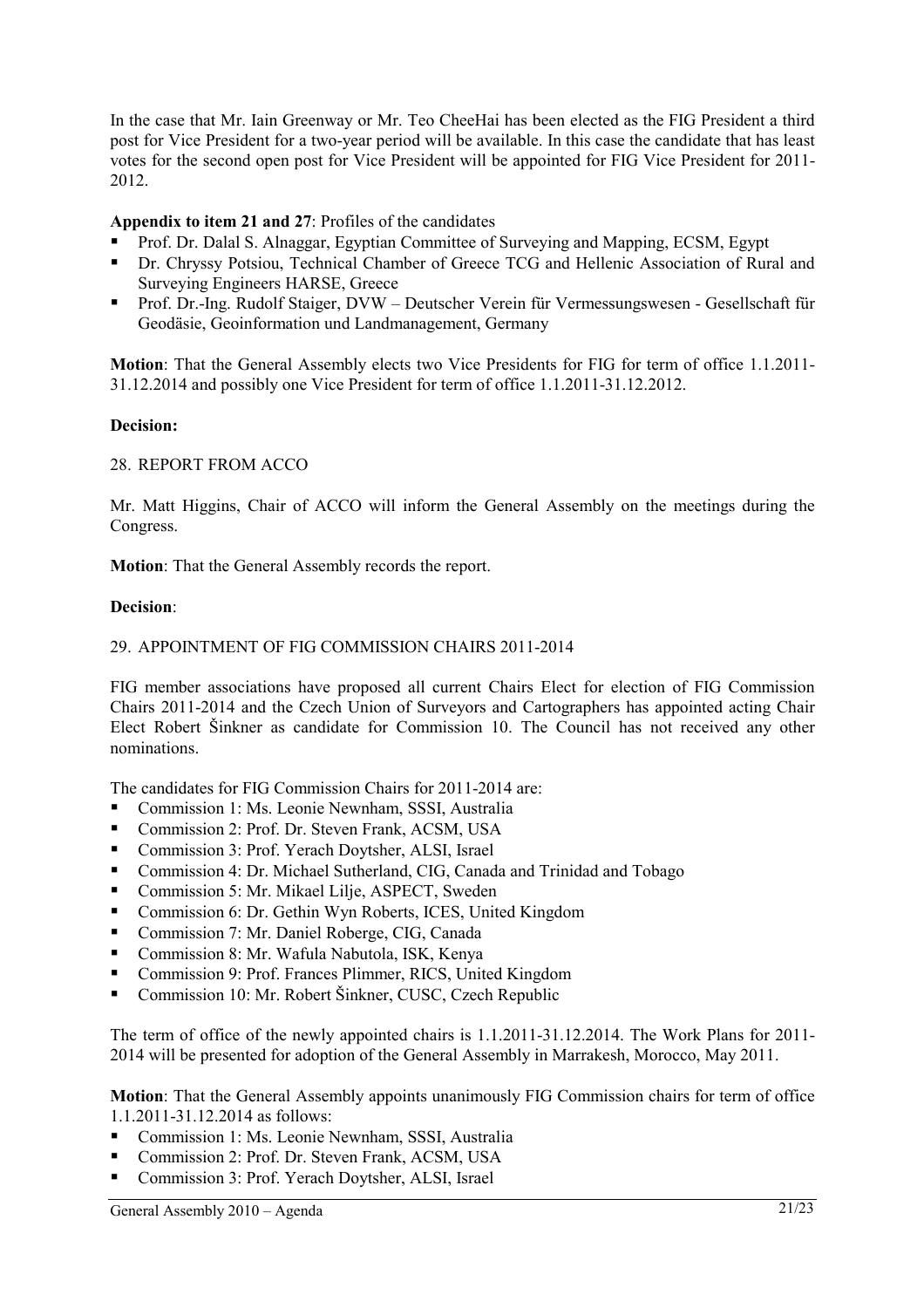In the case that Mr. Iain Greenway or Mr. Teo CheeHai has been elected as the FIG President a third post for Vice President for a two-year period will be available. In this case the candidate that has least votes for the second open post for Vice President will be appointed for FIG Vice President for 2011- 2012.

## **Appendix to item 21 and 27**: Profiles of the candidates

- Prof. Dr. Dalal S. Alnaggar, Egyptian Committee of Surveying and Mapping, ECSM, Egypt
- Dr. Chryssy Potsiou, Technical Chamber of Greece TCG and Hellenic Association of Rural and Surveying Engineers HARSE, Greece
- Prof. Dr.-Ing. Rudolf Staiger, DVW Deutscher Verein für Vermessungswesen Gesellschaft für Geodäsie, Geoinformation und Landmanagement, Germany

**Motion**: That the General Assembly elects two Vice Presidents for FIG for term of office 1.1.2011- 31.12.2014 and possibly one Vice President for term of office 1.1.2011-31.12.2012.

## **Decision:**

#### 28. REPORT FROM ACCO

Mr. Matt Higgins, Chair of ACCO will inform the General Assembly on the meetings during the Congress.

**Motion**: That the General Assembly records the report.

#### **Decision**:

#### 29. APPOINTMENT OF FIG COMMISSION CHAIRS 2011-2014

FIG member associations have proposed all current Chairs Elect for election of FIG Commission Chairs 2011-2014 and the Czech Union of Surveyors and Cartographers has appointed acting Chair Elect Robert Šinkner as candidate for Commission 10. The Council has not received any other nominations.

The candidates for FIG Commission Chairs for 2011-2014 are:

- Commission 1: Ms. Leonie Newnham, SSSI, Australia
- Commission 2: Prof. Dr. Steven Frank, ACSM, USA
- Commission 3: Prof. Yerach Doytsher, ALSI, Israel
- Commission 4: Dr. Michael Sutherland, CIG, Canada and Trinidad and Tobago
- Commission 5: Mr. Mikael Lilje, ASPECT, Sweden
- Commission 6: Dr. Gethin Wyn Roberts, ICES, United Kingdom
- Commission 7: Mr. Daniel Roberge, CIG, Canada
- Commission 8: Mr. Wafula Nabutola, ISK, Kenya
- Commission 9: Prof. Frances Plimmer, RICS, United Kingdom
- Commission 10: Mr. Robert Šinkner, CUSC, Czech Republic

The term of office of the newly appointed chairs is 1.1.2011-31.12.2014. The Work Plans for 2011- 2014 will be presented for adoption of the General Assembly in Marrakesh, Morocco, May 2011.

**Motion**: That the General Assembly appoints unanimously FIG Commission chairs for term of office 1.1.2011-31.12.2014 as follows:

- Commission 1: Ms. Leonie Newnham, SSSI, Australia
- Commission 2: Prof. Dr. Steven Frank, ACSM, USA
- Commission 3: Prof. Yerach Doytsher, ALSI, Israel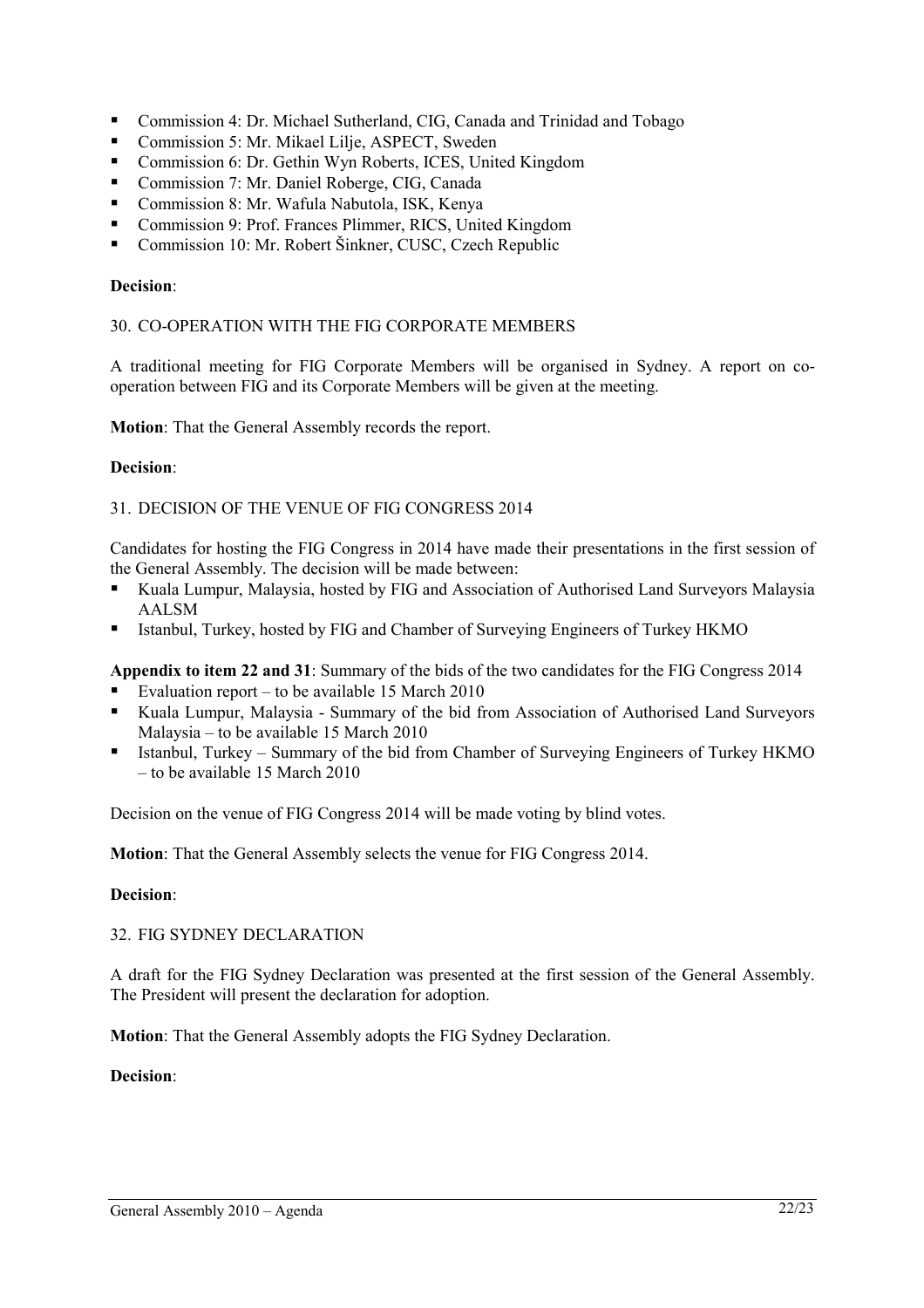- Commission 4: Dr. Michael Sutherland, CIG, Canada and Trinidad and Tobago
- Commission 5: Mr. Mikael Lilje, ASPECT, Sweden
- Commission 6: Dr. Gethin Wyn Roberts, ICES, United Kingdom
- Commission 7: Mr. Daniel Roberge, CIG, Canada
- Commission 8: Mr. Wafula Nabutola, ISK, Kenya
- Commission 9: Prof. Frances Plimmer, RICS, United Kingdom
- Commission 10: Mr. Robert Šinkner, CUSC, Czech Republic

## **Decision**:

#### 30. CO-OPERATION WITH THE FIG CORPORATE MEMBERS

A traditional meeting for FIG Corporate Members will be organised in Sydney. A report on cooperation between FIG and its Corporate Members will be given at the meeting.

**Motion**: That the General Assembly records the report.

#### **Decision**:

#### 31. DECISION OF THE VENUE OF FIG CONGRESS 2014

Candidates for hosting the FIG Congress in 2014 have made their presentations in the first session of the General Assembly. The decision will be made between:

- Kuala Lumpur, Malaysia, hosted by FIG and Association of Authorised Land Surveyors Malaysia AALSM
- Istanbul, Turkey, hosted by FIG and Chamber of Surveying Engineers of Turkey HKMO

**Appendix to item 22 and 31**: Summary of the bids of the two candidates for the FIG Congress 2014

- Evaluation report to be available 15 March 2010
- Kuala Lumpur, Malaysia Summary of the bid from Association of Authorised Land Surveyors Malaysia – to be available 15 March 2010
- Istanbul, Turkey Summary of the bid from Chamber of Surveying Engineers of Turkey HKMO – to be available 15 March 2010

Decision on the venue of FIG Congress 2014 will be made voting by blind votes.

**Motion**: That the General Assembly selects the venue for FIG Congress 2014.

#### **Decision**:

#### 32. FIG SYDNEY DECLARATION

A draft for the FIG Sydney Declaration was presented at the first session of the General Assembly. The President will present the declaration for adoption.

**Motion**: That the General Assembly adopts the FIG Sydney Declaration.

#### **Decision**: